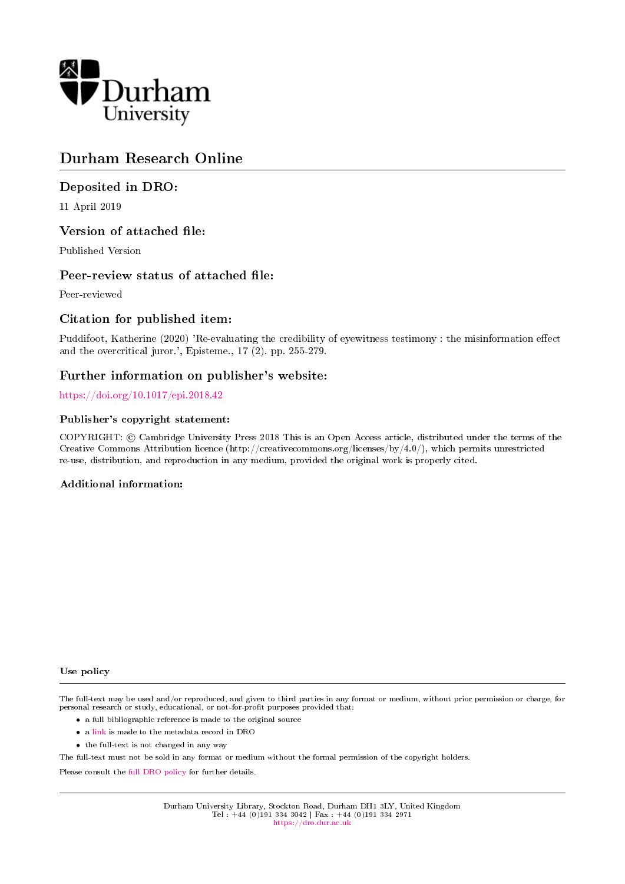

# Durham Research Online

# Deposited in DRO:

11 April 2019

### Version of attached file:

Published Version

### Peer-review status of attached file:

Peer-reviewed

# Citation for published item:

Puddifoot, Katherine (2020) 'Re-evaluating the credibility of eyewitness testimony : the misinformation effect and the overcritical juror.', Episteme., 17 (2). pp. 255-279.

# Further information on publisher's website:

### <https://doi.org/10.1017/epi.2018.42>

### Publisher's copyright statement:

COPYRIGHT: © Cambridge University Press 2018 This is an Open Access article, distributed under the terms of the Creative Commons Attribution licence (http://creativecommons.org/licenses/by/4.0/), which permits unrestricted re-use, distribution, and reproduction in any medium, provided the original work is properly cited.

### Additional information:

#### Use policy

The full-text may be used and/or reproduced, and given to third parties in any format or medium, without prior permission or charge, for personal research or study, educational, or not-for-profit purposes provided that:

- a full bibliographic reference is made to the original source
- a [link](http://dro.dur.ac.uk/26586/) is made to the metadata record in DRO
- the full-text is not changed in any way

The full-text must not be sold in any format or medium without the formal permission of the copyright holders.

Please consult the [full DRO policy](https://dro.dur.ac.uk/policies/usepolicy.pdf) for further details.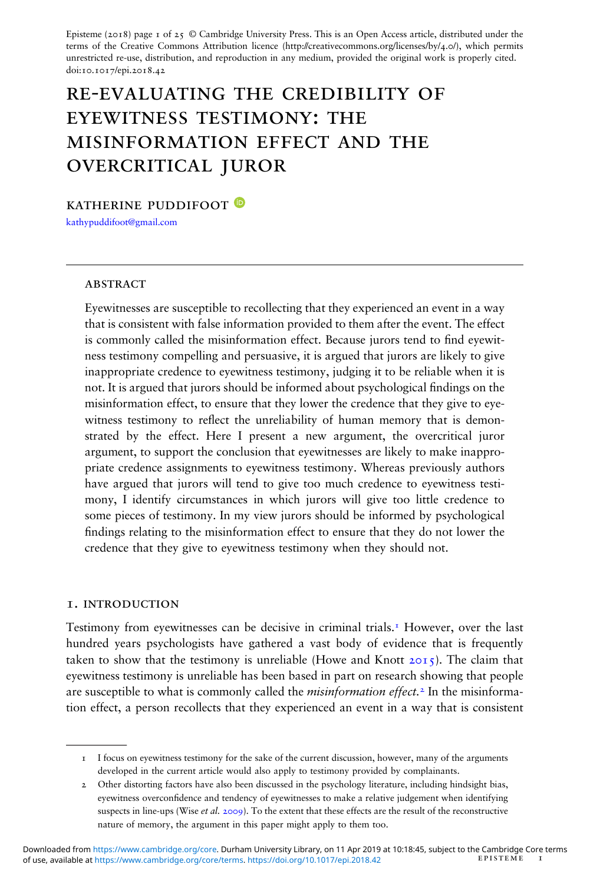Episteme (2018) page 1 of 25  $\odot$  Cambridge University Press. This is an Open Access article, distributed under the terms of the Creative Commons Attribution licence (http://creativecommons.org/licenses/by/4.0/), which permits unrestricted re-use, distribution, and reproduction in any medium, provided the original work is properly cited. doi:10.1017/epi.2018.42

# re-evaluating the credibility of eyewitness testimony: the misinformation effect and the overcritical juror

katherine puddifoot

[kathypuddifoot@gmail.com](mailto:kathypuddifoot@gmail.com)

#### **ABSTRACT**

Eyewitnesses are susceptible to recollecting that they experienced an event in a way that is consistent with false information provided to them after the event. The effect is commonly called the misinformation effect. Because jurors tend to find eyewitness testimony compelling and persuasive, it is argued that jurors are likely to give inappropriate credence to eyewitness testimony, judging it to be reliable when it is not. It is argued that jurors should be informed about psychological findings on the misinformation effect, to ensure that they lower the credence that they give to eyewitness testimony to reflect the unreliability of human memory that is demonstrated by the effect. Here I present a new argument, the overcritical juror argument, to support the conclusion that eyewitnesses are likely to make inappropriate credence assignments to eyewitness testimony. Whereas previously authors have argued that jurors will tend to give too much credence to eyewitness testimony, I identify circumstances in which jurors will give too little credence to some pieces of testimony. In my view jurors should be informed by psychological ndings relating to the misinformation effect to ensure that they do not lower the credence that they give to eyewitness testimony when they should not.

#### 1. introduction

Testimony from eyewitnesses can be decisive in criminal trials.<sup>1</sup> However, over the last hundred years psychologists have gathered a vast body of evidence that is frequently taken to show that the testimony is unreliable (Howe and Knott  $20I_5$ ). The claim that eyewitness testimony is unreliable has been based in part on research showing that people are susceptible to what is commonly called the *misinformation effect*.<sup>2</sup> In the misinformation effect, a person recollects that they experienced an event in a way that is consistent

<sup>1</sup> I focus on eyewitness testimony for the sake of the current discussion, however, many of the arguments developed in the current article would also apply to testimony provided by complainants.

<sup>2</sup> Other distorting factors have also been discussed in the psychology literature, including hindsight bias, eyewitness overcondence and tendency of eyewitnesses to make a relative judgement when identifying suspects in line-ups (Wise et al. 2009). To the extent that these effects are the result of the reconstructive nature of memory, the argument in this paper might apply to them too.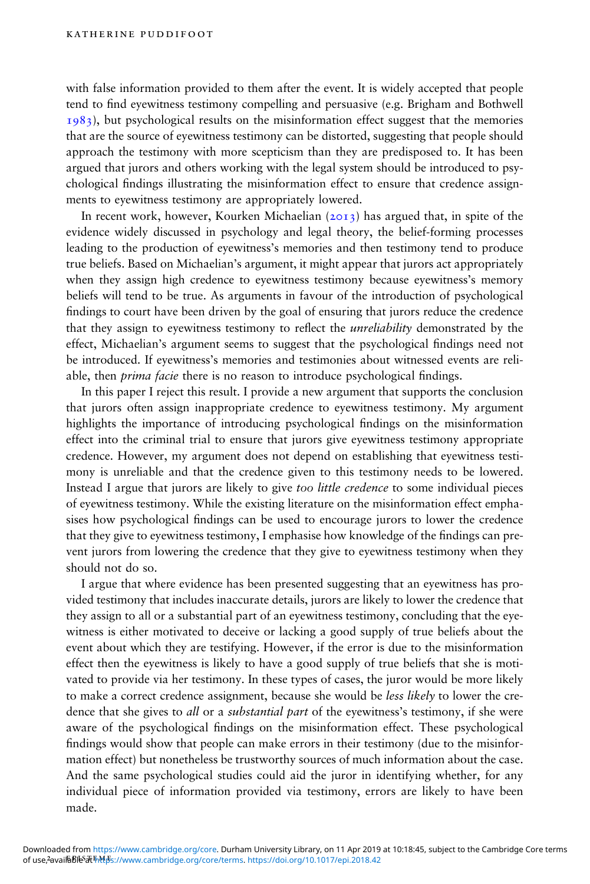with false information provided to them after the event. It is widely accepted that people tend to find eyewitness testimony compelling and persuasive (e.g. Brigham and Bothwell  $1983$ ), but psychological results on the misinformation effect suggest that the memories that are the source of eyewitness testimony can be distorted, suggesting that people should approach the testimony with more scepticism than they are predisposed to. It has been argued that jurors and others working with the legal system should be introduced to psychological ndings illustrating the misinformation effect to ensure that credence assignments to eyewitness testimony are appropriately lowered.

In recent work, however, Kourken Michaelian  $(2013)$  has argued that, in spite of the evidence widely discussed in psychology and legal theory, the belief-forming processes leading to the production of eyewitness's memories and then testimony tend to produce true beliefs. Based on Michaelian's argument, it might appear that jurors act appropriately when they assign high credence to eyewitness testimony because eyewitness's memory beliefs will tend to be true. As arguments in favour of the introduction of psychological findings to court have been driven by the goal of ensuring that jurors reduce the credence that they assign to eyewitness testimony to reflect the *unreliability* demonstrated by the effect, Michaelian's argument seems to suggest that the psychological findings need not be introduced. If eyewitness's memories and testimonies about witnessed events are reliable, then *prima facie* there is no reason to introduce psychological findings.

In this paper I reject this result. I provide a new argument that supports the conclusion that jurors often assign inappropriate credence to eyewitness testimony. My argument highlights the importance of introducing psychological findings on the misinformation effect into the criminal trial to ensure that jurors give eyewitness testimony appropriate credence. However, my argument does not depend on establishing that eyewitness testimony is unreliable and that the credence given to this testimony needs to be lowered. Instead I argue that jurors are likely to give too little credence to some individual pieces of eyewitness testimony. While the existing literature on the misinformation effect emphasises how psychological ndings can be used to encourage jurors to lower the credence that they give to eyewitness testimony, I emphasise how knowledge of the findings can prevent jurors from lowering the credence that they give to eyewitness testimony when they should not do so.

I argue that where evidence has been presented suggesting that an eyewitness has provided testimony that includes inaccurate details, jurors are likely to lower the credence that they assign to all or a substantial part of an eyewitness testimony, concluding that the eyewitness is either motivated to deceive or lacking a good supply of true beliefs about the event about which they are testifying. However, if the error is due to the misinformation effect then the eyewitness is likely to have a good supply of true beliefs that she is motivated to provide via her testimony. In these types of cases, the juror would be more likely to make a correct credence assignment, because she would be less likely to lower the credence that she gives to all or a substantial part of the eyewitness's testimony, if she were aware of the psychological findings on the misinformation effect. These psychological findings would show that people can make errors in their testimony (due to the misinformation effect) but nonetheless be trustworthy sources of much information about the case. And the same psychological studies could aid the juror in identifying whether, for any individual piece of information provided via testimony, errors are likely to have been made.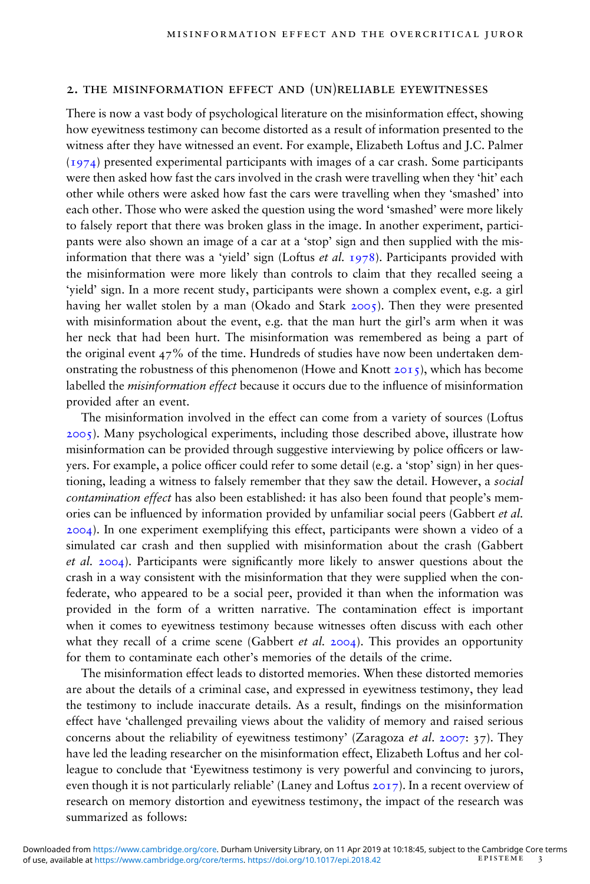#### 2. the misinformation effect and (un)reliable eyewitnesses

There is now a vast body of psychological literature on the misinformation effect, showing how eyewitness testimony can become distorted as a result of information presented to the witness after they have witnessed an event. For example, Elizabeth Loftus and J.C. Palmer (1974) presented experimental participants with images of a car crash. Some participants were then asked how fast the cars involved in the crash were travelling when they 'hit' each other while others were asked how fast the cars were travelling when they 'smashed' into each other. Those who were asked the question using the word 'smashed' were more likely to falsely report that there was broken glass in the image. In another experiment, participants were also shown an image of a car at a 'stop' sign and then supplied with the misinformation that there was a 'yield' sign (Loftus et al. 1978). Participants provided with the misinformation were more likely than controls to claim that they recalled seeing a 'yield' sign. In a more recent study, participants were shown a complex event, e.g. a girl having her wallet stolen by a man (Okado and Stark 2005). Then they were presented with misinformation about the event, e.g. that the man hurt the girl's arm when it was her neck that had been hurt. The misinformation was remembered as being a part of the original event  $47\%$  of the time. Hundreds of studies have now been undertaken demonstrating the robustness of this phenomenon (Howe and Knott  $20I_5$ ), which has become labelled the *misinformation effect* because it occurs due to the influence of misinformation provided after an event.

The misinformation involved in the effect can come from a variety of sources (Loftus 2005). Many psychological experiments, including those described above, illustrate how misinformation can be provided through suggestive interviewing by police officers or lawyers. For example, a police officer could refer to some detail (e.g. a 'stop' sign) in her questioning, leading a witness to falsely remember that they saw the detail. However, a social contamination effect has also been established: it has also been found that people's memories can be influenced by information provided by unfamiliar social peers (Gabbert et al. 2004). In one experiment exemplifying this effect, participants were shown a video of a simulated car crash and then supplied with misinformation about the crash (Gabbert et al.  $2004$ ). Participants were significantly more likely to answer questions about the crash in a way consistent with the misinformation that they were supplied when the confederate, who appeared to be a social peer, provided it than when the information was provided in the form of a written narrative. The contamination effect is important when it comes to eyewitness testimony because witnesses often discuss with each other what they recall of a crime scene (Gabbert *et al.* 2004). This provides an opportunity for them to contaminate each other's memories of the details of the crime.

The misinformation effect leads to distorted memories. When these distorted memories are about the details of a criminal case, and expressed in eyewitness testimony, they lead the testimony to include inaccurate details. As a result, findings on the misinformation effect have 'challenged prevailing views about the validity of memory and raised serious concerns about the reliability of eyewitness testimony' (Zaragoza *et al.* 2007: 37). They have led the leading researcher on the misinformation effect, Elizabeth Loftus and her colleague to conclude that 'Eyewitness testimony is very powerful and convincing to jurors, even though it is not particularly reliable' (Laney and Loftus 2017). In a recent overview of research on memory distortion and eyewitness testimony, the impact of the research was summarized as follows: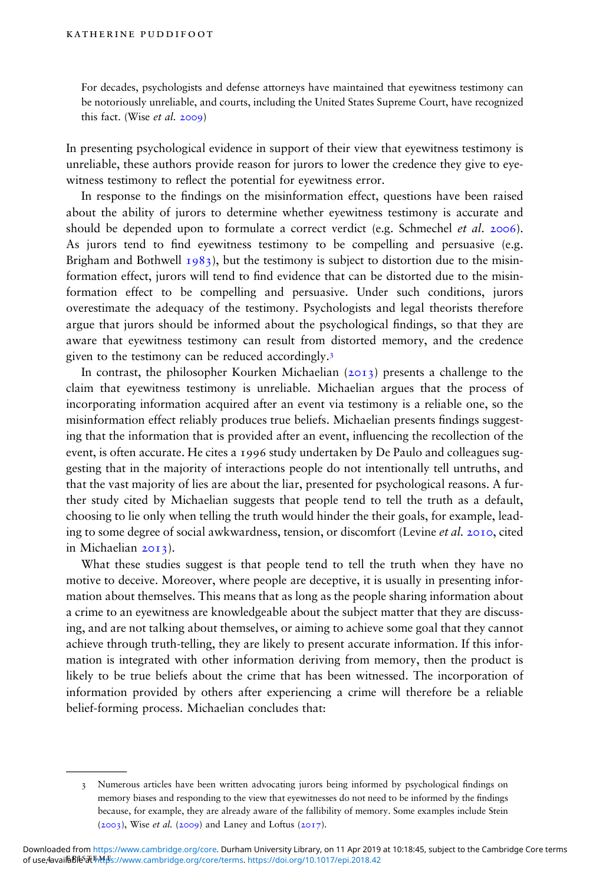For decades, psychologists and defense attorneys have maintained that eyewitness testimony can be notoriously unreliable, and courts, including the United States Supreme Court, have recognized this fact. (Wise et al. 2009)

In presenting psychological evidence in support of their view that eyewitness testimony is unreliable, these authors provide reason for jurors to lower the credence they give to eyewitness testimony to reflect the potential for eyewitness error.

In response to the findings on the misinformation effect, questions have been raised about the ability of jurors to determine whether eyewitness testimony is accurate and should be depended upon to formulate a correct verdict (e.g. Schmechel et al. 2006). As jurors tend to find eyewitness testimony to be compelling and persuasive (e.g. Brigham and Bothwell  $1983$ , but the testimony is subject to distortion due to the misinformation effect, jurors will tend to find evidence that can be distorted due to the misinformation effect to be compelling and persuasive. Under such conditions, jurors overestimate the adequacy of the testimony. Psychologists and legal theorists therefore argue that jurors should be informed about the psychological findings, so that they are aware that eyewitness testimony can result from distorted memory, and the credence given to the testimony can be reduced accordingly.3

In contrast, the philosopher Kourken Michaelian  $(2013)$  presents a challenge to the claim that eyewitness testimony is unreliable. Michaelian argues that the process of incorporating information acquired after an event via testimony is a reliable one, so the misinformation effect reliably produces true beliefs. Michaelian presents findings suggesting that the information that is provided after an event, influencing the recollection of the event, is often accurate. He cites a 1996 study undertaken by De Paulo and colleagues suggesting that in the majority of interactions people do not intentionally tell untruths, and that the vast majority of lies are about the liar, presented for psychological reasons. A further study cited by Michaelian suggests that people tend to tell the truth as a default, choosing to lie only when telling the truth would hinder the their goals, for example, leading to some degree of social awkwardness, tension, or discomfort (Levine et al. 2010, cited in Michaelian 2013).

What these studies suggest is that people tend to tell the truth when they have no motive to deceive. Moreover, where people are deceptive, it is usually in presenting information about themselves. This means that as long as the people sharing information about a crime to an eyewitness are knowledgeable about the subject matter that they are discussing, and are not talking about themselves, or aiming to achieve some goal that they cannot achieve through truth-telling, they are likely to present accurate information. If this information is integrated with other information deriving from memory, then the product is likely to be true beliefs about the crime that has been witnessed. The incorporation of information provided by others after experiencing a crime will therefore be a reliable belief-forming process. Michaelian concludes that:

<sup>3</sup> Numerous articles have been written advocating jurors being informed by psychological ndings on memory biases and responding to the view that eyewitnesses do not need to be informed by the findings because, for example, they are already aware of the fallibility of memory. Some examples include Stein  $(2003)$ , Wise *et al.*  $(2009)$  and Laney and Loftus  $(2017)$ .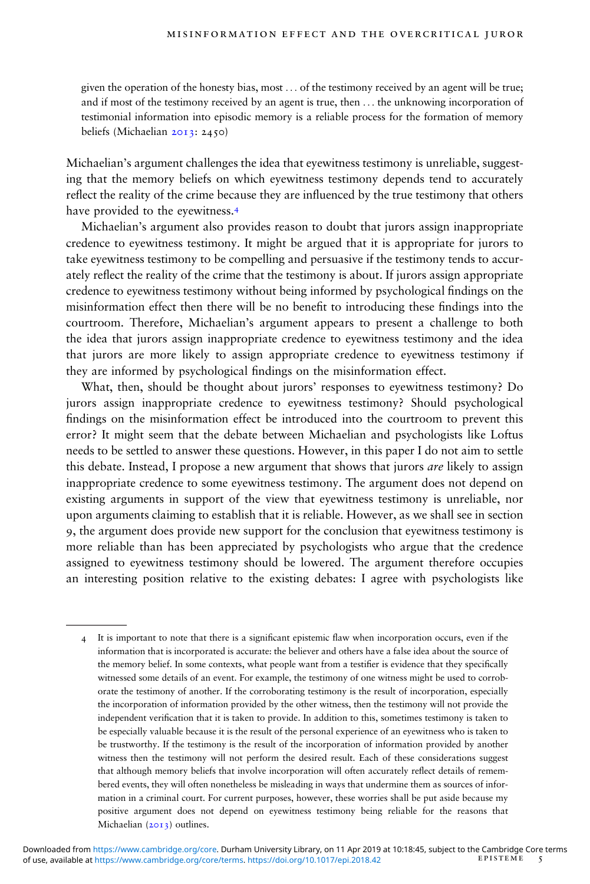given the operation of the honesty bias, most ... of the testimony received by an agent will be true; and if most of the testimony received by an agent is true, then ... the unknowing incorporation of testimonial information into episodic memory is a reliable process for the formation of memory beliefs (Michaelian 2013: 2450)

Michaelian's argument challenges the idea that eyewitness testimony is unreliable, suggesting that the memory beliefs on which eyewitness testimony depends tend to accurately reflect the reality of the crime because they are influenced by the true testimony that others have provided to the eyewitness.4

Michaelian's argument also provides reason to doubt that jurors assign inappropriate credence to eyewitness testimony. It might be argued that it is appropriate for jurors to take eyewitness testimony to be compelling and persuasive if the testimony tends to accurately reflect the reality of the crime that the testimony is about. If jurors assign appropriate credence to eyewitness testimony without being informed by psychological ndings on the misinformation effect then there will be no benefit to introducing these findings into the courtroom. Therefore, Michaelian's argument appears to present a challenge to both the idea that jurors assign inappropriate credence to eyewitness testimony and the idea that jurors are more likely to assign appropriate credence to eyewitness testimony if they are informed by psychological findings on the misinformation effect.

What, then, should be thought about jurors' responses to eyewitness testimony? Do jurors assign inappropriate credence to eyewitness testimony? Should psychological findings on the misinformation effect be introduced into the courtroom to prevent this error? It might seem that the debate between Michaelian and psychologists like Loftus needs to be settled to answer these questions. However, in this paper I do not aim to settle this debate. Instead, I propose a new argument that shows that jurors *are* likely to assign inappropriate credence to some eyewitness testimony. The argument does not depend on existing arguments in support of the view that eyewitness testimony is unreliable, nor upon arguments claiming to establish that it is reliable. However, as we shall see in section 9, the argument does provide new support for the conclusion that eyewitness testimony is more reliable than has been appreciated by psychologists who argue that the credence assigned to eyewitness testimony should be lowered. The argument therefore occupies an interesting position relative to the existing debates: I agree with psychologists like

<sup>4</sup> It is important to note that there is a significant epistemic flaw when incorporation occurs, even if the information that is incorporated is accurate: the believer and others have a false idea about the source of the memory belief. In some contexts, what people want from a testifier is evidence that they specifically witnessed some details of an event. For example, the testimony of one witness might be used to corroborate the testimony of another. If the corroborating testimony is the result of incorporation, especially the incorporation of information provided by the other witness, then the testimony will not provide the independent verification that it is taken to provide. In addition to this, sometimes testimony is taken to be especially valuable because it is the result of the personal experience of an eyewitness who is taken to be trustworthy. If the testimony is the result of the incorporation of information provided by another witness then the testimony will not perform the desired result. Each of these considerations suggest that although memory beliefs that involve incorporation will often accurately reflect details of remembered events, they will often nonetheless be misleading in ways that undermine them as sources of information in a criminal court. For current purposes, however, these worries shall be put aside because my positive argument does not depend on eyewitness testimony being reliable for the reasons that Michaelian  $(2013)$  outlines.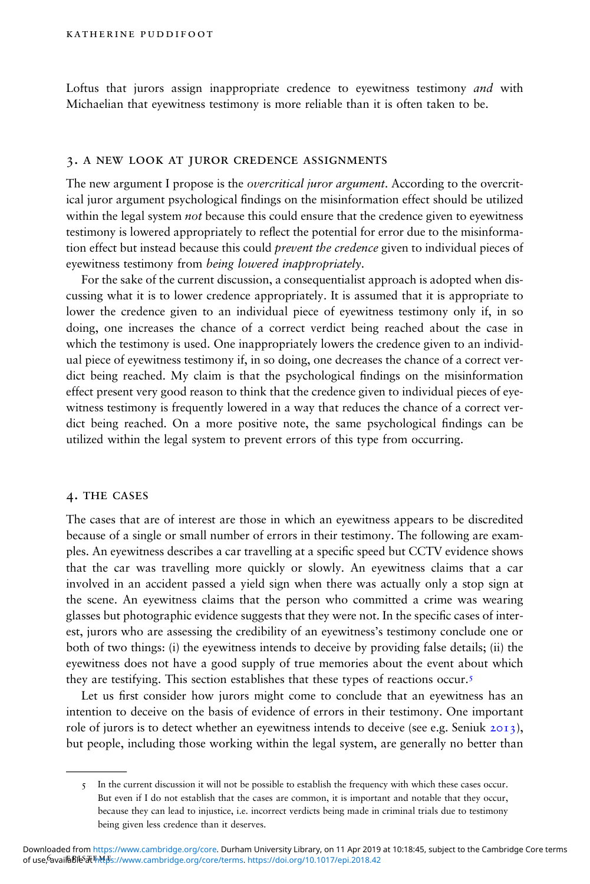Loftus that jurors assign inappropriate credence to eyewitness testimony *and* with Michaelian that eyewitness testimony is more reliable than it is often taken to be.

#### 3. a new look at juror credence assignments

The new argument I propose is the *overcritical juror argument*. According to the overcritical juror argument psychological findings on the misinformation effect should be utilized within the legal system *not* because this could ensure that the credence given to eyewitness testimony is lowered appropriately to reflect the potential for error due to the misinformation effect but instead because this could *prevent the credence* given to individual pieces of eyewitness testimony from being lowered inappropriately.

For the sake of the current discussion, a consequentialist approach is adopted when discussing what it is to lower credence appropriately. It is assumed that it is appropriate to lower the credence given to an individual piece of eyewitness testimony only if, in so doing, one increases the chance of a correct verdict being reached about the case in which the testimony is used. One inappropriately lowers the credence given to an individual piece of eyewitness testimony if, in so doing, one decreases the chance of a correct verdict being reached. My claim is that the psychological findings on the misinformation effect present very good reason to think that the credence given to individual pieces of eyewitness testimony is frequently lowered in a way that reduces the chance of a correct verdict being reached. On a more positive note, the same psychological findings can be utilized within the legal system to prevent errors of this type from occurring.

#### 4. the cases

The cases that are of interest are those in which an eyewitness appears to be discredited because of a single or small number of errors in their testimony. The following are examples. An eyewitness describes a car travelling at a specific speed but CCTV evidence shows that the car was travelling more quickly or slowly. An eyewitness claims that a car involved in an accident passed a yield sign when there was actually only a stop sign at the scene. An eyewitness claims that the person who committed a crime was wearing glasses but photographic evidence suggests that they were not. In the specific cases of interest, jurors who are assessing the credibility of an eyewitness's testimony conclude one or both of two things: (i) the eyewitness intends to deceive by providing false details; (ii) the eyewitness does not have a good supply of true memories about the event about which they are testifying. This section establishes that these types of reactions occur.5

Let us first consider how jurors might come to conclude that an eyewitness has an intention to deceive on the basis of evidence of errors in their testimony. One important role of jurors is to detect whether an eyewitness intends to deceive (see e.g. Seniuk 2013), but people, including those working within the legal system, are generally no better than

<sup>5</sup> In the current discussion it will not be possible to establish the frequency with which these cases occur. But even if I do not establish that the cases are common, it is important and notable that they occur, because they can lead to injustice, i.e. incorrect verdicts being made in criminal trials due to testimony being given less credence than it deserves.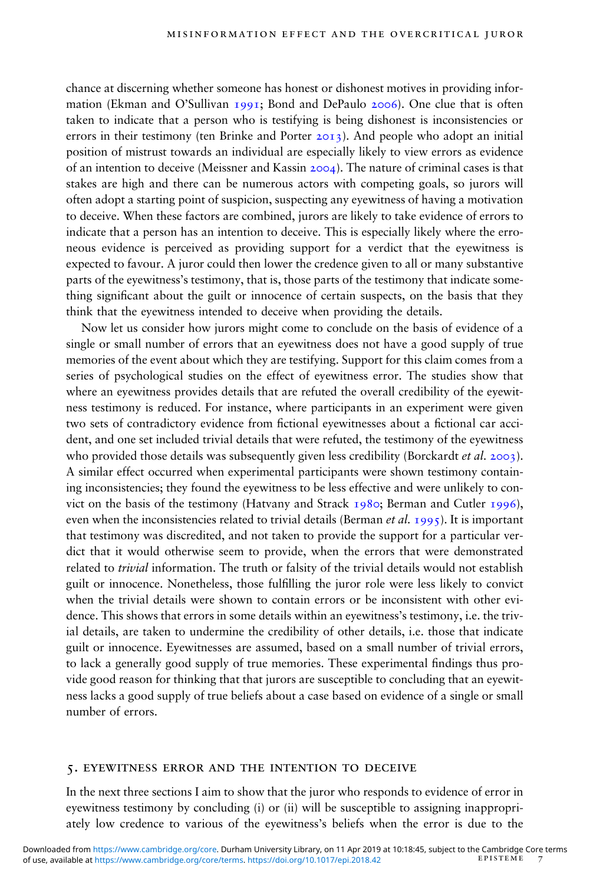chance at discerning whether someone has honest or dishonest motives in providing information (Ekman and O'Sullivan 1991; Bond and DePaulo 2006). One clue that is often taken to indicate that a person who is testifying is being dishonest is inconsistencies or errors in their testimony (ten Brinke and Porter  $2013$ ). And people who adopt an initial position of mistrust towards an individual are especially likely to view errors as evidence of an intention to deceive (Meissner and Kassin 2004). The nature of criminal cases is that stakes are high and there can be numerous actors with competing goals, so jurors will often adopt a starting point of suspicion, suspecting any eyewitness of having a motivation to deceive. When these factors are combined, jurors are likely to take evidence of errors to indicate that a person has an intention to deceive. This is especially likely where the erroneous evidence is perceived as providing support for a verdict that the eyewitness is expected to favour. A juror could then lower the credence given to all or many substantive parts of the eyewitness's testimony, that is, those parts of the testimony that indicate something significant about the guilt or innocence of certain suspects, on the basis that they think that the eyewitness intended to deceive when providing the details.

Now let us consider how jurors might come to conclude on the basis of evidence of a single or small number of errors that an eyewitness does not have a good supply of true memories of the event about which they are testifying. Support for this claim comes from a series of psychological studies on the effect of eyewitness error. The studies show that where an eyewitness provides details that are refuted the overall credibility of the eyewitness testimony is reduced. For instance, where participants in an experiment were given two sets of contradictory evidence from fictional eyewitnesses about a fictional car accident, and one set included trivial details that were refuted, the testimony of the eyewitness who provided those details was subsequently given less credibility (Borckardt et al. 2003). A similar effect occurred when experimental participants were shown testimony containing inconsistencies; they found the eyewitness to be less effective and were unlikely to convict on the basis of the testimony (Hatvany and Strack 1980; Berman and Cutler 1996), even when the inconsistencies related to trivial details (Berman *et al.* 1995). It is important that testimony was discredited, and not taken to provide the support for a particular verdict that it would otherwise seem to provide, when the errors that were demonstrated related to *trivial* information. The truth or falsity of the trivial details would not establish guilt or innocence. Nonetheless, those fullling the juror role were less likely to convict when the trivial details were shown to contain errors or be inconsistent with other evidence. This shows that errors in some details within an eyewitness's testimony, i.e. the trivial details, are taken to undermine the credibility of other details, i.e. those that indicate guilt or innocence. Eyewitnesses are assumed, based on a small number of trivial errors, to lack a generally good supply of true memories. These experimental findings thus provide good reason for thinking that that jurors are susceptible to concluding that an eyewitness lacks a good supply of true beliefs about a case based on evidence of a single or small number of errors.

#### 5. eyewitness error and the intention to deceive

In the next three sections I aim to show that the juror who responds to evidence of error in eyewitness testimony by concluding (i) or (ii) will be susceptible to assigning inappropriately low credence to various of the eyewitness's beliefs when the error is due to the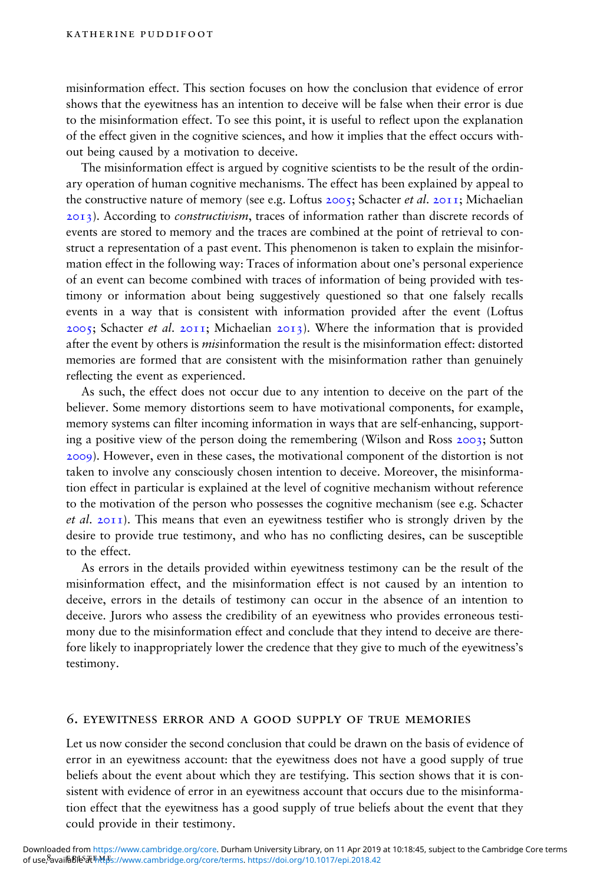misinformation effect. This section focuses on how the conclusion that evidence of error shows that the eyewitness has an intention to deceive will be false when their error is due to the misinformation effect. To see this point, it is useful to reflect upon the explanation of the effect given in the cognitive sciences, and how it implies that the effect occurs without being caused by a motivation to deceive.

The misinformation effect is argued by cognitive scientists to be the result of the ordinary operation of human cognitive mechanisms. The effect has been explained by appeal to the constructive nature of memory (see e.g. Loftus  $2005$ ; Schacter *et al.*  $2011$ ; Michaelian 2013). According to *constructivism*, traces of information rather than discrete records of events are stored to memory and the traces are combined at the point of retrieval to construct a representation of a past event. This phenomenon is taken to explain the misinformation effect in the following way: Traces of information about one's personal experience of an event can become combined with traces of information of being provided with testimony or information about being suggestively questioned so that one falsely recalls events in a way that is consistent with information provided after the event (Loftus  $2005$ ; Schacter *et al.*  $2011$ ; Michaelian  $2013$ ). Where the information that is provided after the event by others is *misinformation* the result is the misinformation effect: distorted memories are formed that are consistent with the misinformation rather than genuinely reflecting the event as experienced.

As such, the effect does not occur due to any intention to deceive on the part of the believer. Some memory distortions seem to have motivational components, for example, memory systems can filter incoming information in ways that are self-enhancing, supporting a positive view of the person doing the remembering (Wilson and Ross 2003; Sutton 2009). However, even in these cases, the motivational component of the distortion is not taken to involve any consciously chosen intention to deceive. Moreover, the misinformation effect in particular is explained at the level of cognitive mechanism without reference to the motivation of the person who possesses the cognitive mechanism (see e.g. Schacter *et al.*  $2011$ ). This means that even an eyewitness testifier who is strongly driven by the desire to provide true testimony, and who has no conflicting desires, can be susceptible to the effect.

As errors in the details provided within eyewitness testimony can be the result of the misinformation effect, and the misinformation effect is not caused by an intention to deceive, errors in the details of testimony can occur in the absence of an intention to deceive. Jurors who assess the credibility of an eyewitness who provides erroneous testimony due to the misinformation effect and conclude that they intend to deceive are therefore likely to inappropriately lower the credence that they give to much of the eyewitness's testimony.

#### 6. eyewitness error and a good supply of true memories

Let us now consider the second conclusion that could be drawn on the basis of evidence of error in an eyewitness account: that the eyewitness does not have a good supply of true beliefs about the event about which they are testifying. This section shows that it is consistent with evidence of error in an eyewitness account that occurs due to the misinformation effect that the eyewitness has a good supply of true beliefs about the event that they could provide in their testimony.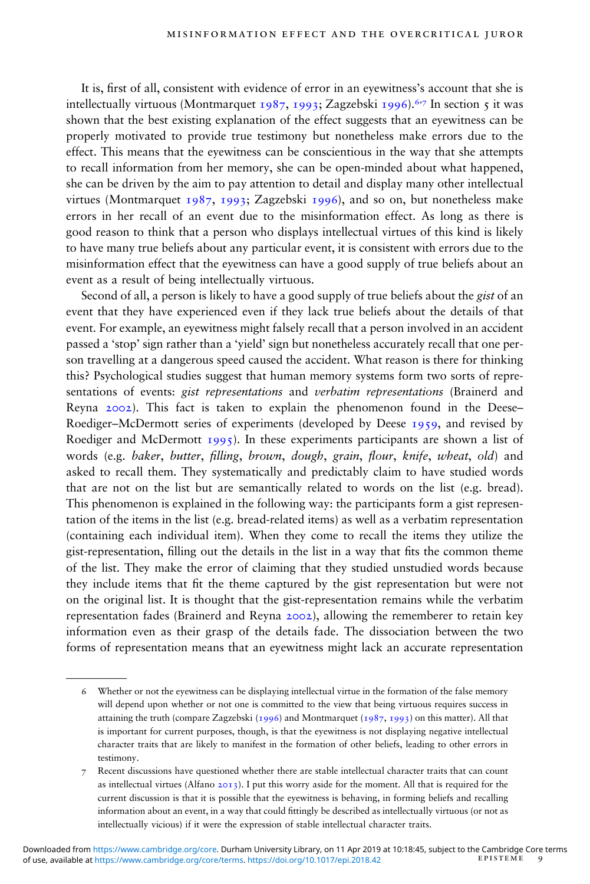It is, first of all, consistent with evidence of error in an eyewitness's account that she is intellectually virtuous (Montmarquet 1987, 1993; Zagzebski 1996).<sup>6,7</sup> In section 5 it was shown that the best existing explanation of the effect suggests that an eyewitness can be properly motivated to provide true testimony but nonetheless make errors due to the effect. This means that the eyewitness can be conscientious in the way that she attempts to recall information from her memory, she can be open-minded about what happened, she can be driven by the aim to pay attention to detail and display many other intellectual virtues (Montmarquet 1987, 1993; Zagzebski 1996), and so on, but nonetheless make errors in her recall of an event due to the misinformation effect. As long as there is good reason to think that a person who displays intellectual virtues of this kind is likely to have many true beliefs about any particular event, it is consistent with errors due to the misinformation effect that the eyewitness can have a good supply of true beliefs about an event as a result of being intellectually virtuous.

Second of all, a person is likely to have a good supply of true beliefs about the gist of an event that they have experienced even if they lack true beliefs about the details of that event. For example, an eyewitness might falsely recall that a person involved in an accident passed a 'stop' sign rather than a 'yield' sign but nonetheless accurately recall that one person travelling at a dangerous speed caused the accident. What reason is there for thinking this? Psychological studies suggest that human memory systems form two sorts of representations of events: gist representations and verbatim representations (Brainerd and Reyna 2002). This fact is taken to explain the phenomenon found in the Deese– Roediger–McDermott series of experiments (developed by Deese 1959, and revised by Roediger and McDermott  $1995$ ). In these experiments participants are shown a list of words (e.g. baker, butter, filling, brown, dough, grain, flour, knife, wheat, old) and asked to recall them. They systematically and predictably claim to have studied words that are not on the list but are semantically related to words on the list (e.g. bread). This phenomenon is explained in the following way: the participants form a gist representation of the items in the list (e.g. bread-related items) as well as a verbatim representation (containing each individual item). When they come to recall the items they utilize the gist-representation, filling out the details in the list in a way that fits the common theme of the list. They make the error of claiming that they studied unstudied words because they include items that fit the theme captured by the gist representation but were not on the original list. It is thought that the gist-representation remains while the verbatim representation fades (Brainerd and Reyna 2002), allowing the rememberer to retain key information even as their grasp of the details fade. The dissociation between the two forms of representation means that an eyewitness might lack an accurate representation

<sup>6</sup> Whether or not the eyewitness can be displaying intellectual virtue in the formation of the false memory will depend upon whether or not one is committed to the view that being virtuous requires success in attaining the truth (compare Zagzebski (1996) and Montmarquet (1987, 1993) on this matter). All that is important for current purposes, though, is that the eyewitness is not displaying negative intellectual character traits that are likely to manifest in the formation of other beliefs, leading to other errors in testimony.

<sup>7</sup> Recent discussions have questioned whether there are stable intellectual character traits that can count as intellectual virtues (Alfano 2013). I put this worry aside for the moment. All that is required for the current discussion is that it is possible that the eyewitness is behaving, in forming beliefs and recalling information about an event, in a way that could ttingly be described as intellectually virtuous (or not as intellectually vicious) if it were the expression of stable intellectual character traits.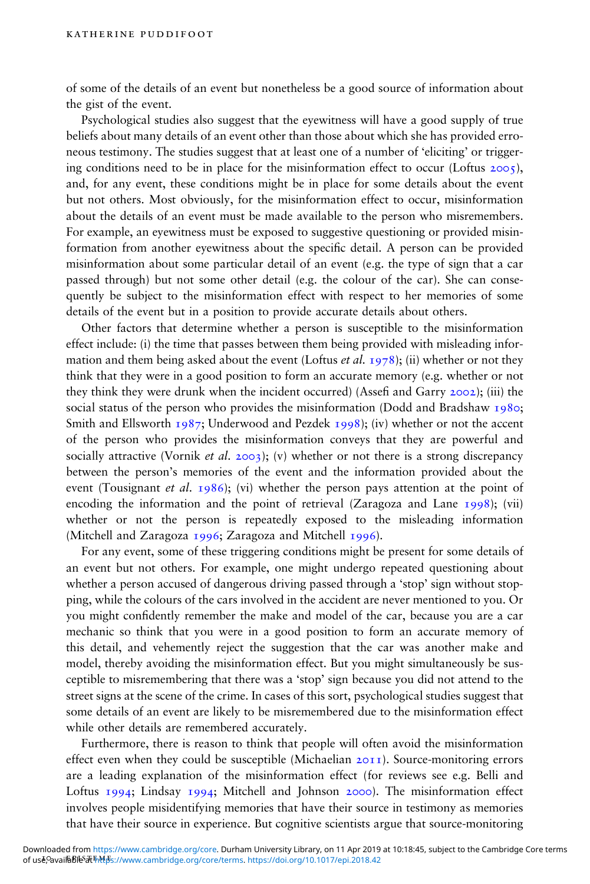of some of the details of an event but nonetheless be a good source of information about the gist of the event.

Psychological studies also suggest that the eyewitness will have a good supply of true beliefs about many details of an event other than those about which she has provided erroneous testimony. The studies suggest that at least one of a number of 'eliciting' or triggering conditions need to be in place for the misinformation effect to occur (Loftus  $2005$ ), and, for any event, these conditions might be in place for some details about the event but not others. Most obviously, for the misinformation effect to occur, misinformation about the details of an event must be made available to the person who misremembers. For example, an eyewitness must be exposed to suggestive questioning or provided misinformation from another eyewitness about the specific detail. A person can be provided misinformation about some particular detail of an event (e.g. the type of sign that a car passed through) but not some other detail (e.g. the colour of the car). She can consequently be subject to the misinformation effect with respect to her memories of some details of the event but in a position to provide accurate details about others.

Other factors that determine whether a person is susceptible to the misinformation effect include: (i) the time that passes between them being provided with misleading information and them being asked about the event (Loftus *et al.* 1978); (ii) whether or not they think that they were in a good position to form an accurate memory (e.g. whether or not they think they were drunk when the incident occurred) (Assefi and Garry  $2002$ ); (iii) the social status of the person who provides the misinformation (Dodd and Bradshaw 1980; Smith and Ellsworth 1987; Underwood and Pezdek 1998); (iv) whether or not the accent of the person who provides the misinformation conveys that they are powerful and socially attractive (Vornik *et al.* 2003); (v) whether or not there is a strong discrepancy between the person's memories of the event and the information provided about the event (Tousignant *et al.* 1986); (vi) whether the person pays attention at the point of encoding the information and the point of retrieval (Zaragoza and Lane 1998); (vii) whether or not the person is repeatedly exposed to the misleading information (Mitchell and Zaragoza 1996; Zaragoza and Mitchell 1996).

For any event, some of these triggering conditions might be present for some details of an event but not others. For example, one might undergo repeated questioning about whether a person accused of dangerous driving passed through a 'stop' sign without stopping, while the colours of the cars involved in the accident are never mentioned to you. Or you might confidently remember the make and model of the car, because you are a car mechanic so think that you were in a good position to form an accurate memory of this detail, and vehemently reject the suggestion that the car was another make and model, thereby avoiding the misinformation effect. But you might simultaneously be susceptible to misremembering that there was a 'stop' sign because you did not attend to the street signs at the scene of the crime. In cases of this sort, psychological studies suggest that some details of an event are likely to be misremembered due to the misinformation effect while other details are remembered accurately.

Furthermore, there is reason to think that people will often avoid the misinformation effect even when they could be susceptible (Michaelian 2011). Source-monitoring errors are a leading explanation of the misinformation effect (for reviews see e.g. Belli and Loftus 1994; Lindsay 1994; Mitchell and Johnson 2000). The misinformation effect involves people misidentifying memories that have their source in testimony as memories that have their source in experience. But cognitive scientists argue that source-monitoring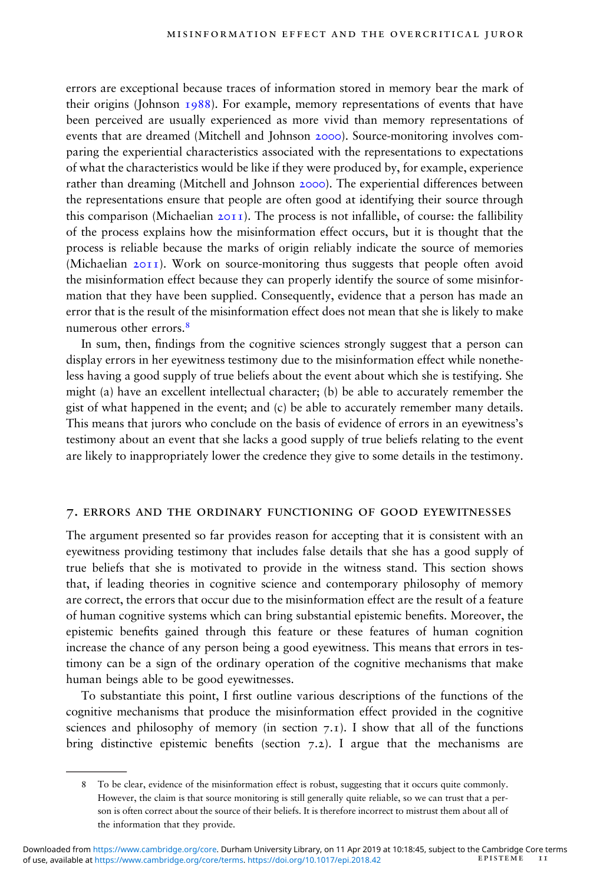errors are exceptional because traces of information stored in memory bear the mark of their origins (Johnson  $1988$ ). For example, memory representations of events that have been perceived are usually experienced as more vivid than memory representations of events that are dreamed (Mitchell and Johnson 2000). Source-monitoring involves comparing the experiential characteristics associated with the representations to expectations of what the characteristics would be like if they were produced by, for example, experience rather than dreaming (Mitchell and Johnson 2000). The experiential differences between the representations ensure that people are often good at identifying their source through this comparison (Michaelian  $20I1$ ). The process is not infallible, of course: the fallibility of the process explains how the misinformation effect occurs, but it is thought that the process is reliable because the marks of origin reliably indicate the source of memories (Michaelian 2011). Work on source-monitoring thus suggests that people often avoid the misinformation effect because they can properly identify the source of some misinformation that they have been supplied. Consequently, evidence that a person has made an error that is the result of the misinformation effect does not mean that she is likely to make numerous other errors 8

In sum, then, findings from the cognitive sciences strongly suggest that a person can display errors in her eyewitness testimony due to the misinformation effect while nonetheless having a good supply of true beliefs about the event about which she is testifying. She might (a) have an excellent intellectual character; (b) be able to accurately remember the gist of what happened in the event; and (c) be able to accurately remember many details. This means that jurors who conclude on the basis of evidence of errors in an eyewitness's testimony about an event that she lacks a good supply of true beliefs relating to the event are likely to inappropriately lower the credence they give to some details in the testimony.

#### 7. errors and the ordinary functioning of good eyewitnesses

The argument presented so far provides reason for accepting that it is consistent with an eyewitness providing testimony that includes false details that she has a good supply of true beliefs that she is motivated to provide in the witness stand. This section shows that, if leading theories in cognitive science and contemporary philosophy of memory are correct, the errors that occur due to the misinformation effect are the result of a feature of human cognitive systems which can bring substantial epistemic benets. Moreover, the epistemic benets gained through this feature or these features of human cognition increase the chance of any person being a good eyewitness. This means that errors in testimony can be a sign of the ordinary operation of the cognitive mechanisms that make human beings able to be good eyewitnesses.

To substantiate this point, I first outline various descriptions of the functions of the cognitive mechanisms that produce the misinformation effect provided in the cognitive sciences and philosophy of memory (in section  $7 \text{·r}$ ). I show that all of the functions bring distinctive epistemic benefits (section  $7.2$ ). I argue that the mechanisms are

<sup>8</sup> To be clear, evidence of the misinformation effect is robust, suggesting that it occurs quite commonly. However, the claim is that source monitoring is still generally quite reliable, so we can trust that a person is often correct about the source of their beliefs. It is therefore incorrect to mistrust them about all of the information that they provide.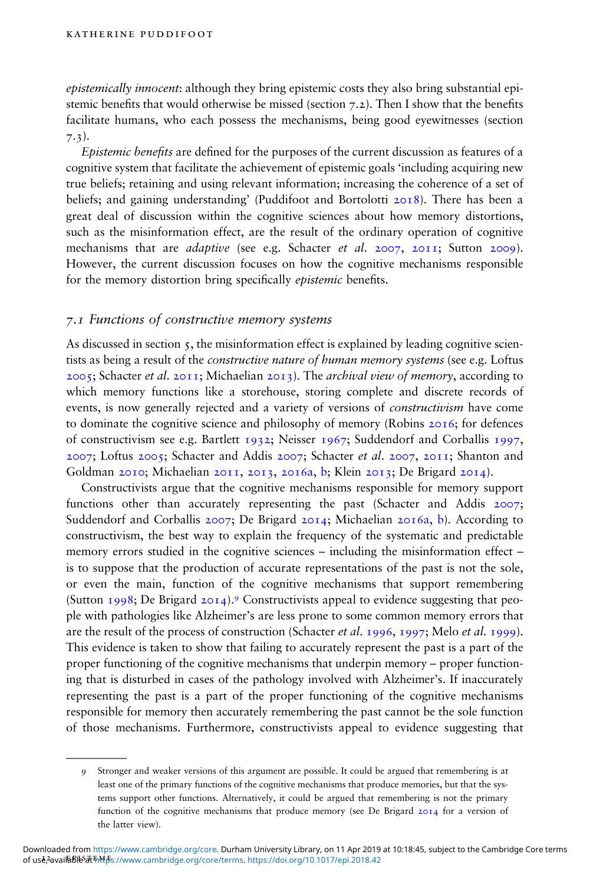epistemically innocent: although they bring epistemic costs they also bring substantial epistemic benefits that would otherwise be missed (section  $7.2$ ). Then I show that the benefits facilitate humans, who each possess the mechanisms, being good eyewitnesses (section 7.3).

Epistemic benefits are defined for the purposes of the current discussion as features of a cognitive system that facilitate the achievement of epistemic goals 'including acquiring new true beliefs; retaining and using relevant information; increasing the coherence of a set of beliefs; and gaining understanding' (Puddifoot and Bortolotti 2018). There has been a great deal of discussion within the cognitive sciences about how memory distortions, such as the misinformation effect, are the result of the ordinary operation of cognitive mechanisms that are *adaptive* (see e.g. Schacter et al. 2007, 2011; Sutton 2009). However, the current discussion focuses on how the cognitive mechanisms responsible for the memory distortion bring specifically *epistemic* benefits.

#### 7.1 Functions of constructive memory systems

As discussed in section  $\varsigma$ , the misinformation effect is explained by leading cognitive scientists as being a result of the *constructive nature of human memory systems* (see e.g. Loftus  $2005$ ; Schacter *et al.*  $2011$ ; Michaelian  $2013$ ). The *archival view of memory*, according to which memory functions like a storehouse, storing complete and discrete records of events, is now generally rejected and a variety of versions of constructivism have come to dominate the cognitive science and philosophy of memory (Robins 2016; for defences of constructivism see e.g. Bartlett 1932; Neisser 1967; Suddendorf and Corballis 1997, 2007; Loftus 2005; Schacter and Addis 2007; Schacter et al. 2007, 2011; Shanton and Goldman 2010; Michaelian 2011, 2013, 2016a, b; Klein 2013; De Brigard 2014).

Constructivists argue that the cognitive mechanisms responsible for memory support functions other than accurately representing the past (Schacter and Addis 2007; Suddendorf and Corballis 2007; De Brigard 2014; Michaelian 2016a, b). According to constructivism, the best way to explain the frequency of the systematic and predictable memory errors studied in the cognitive sciences – including the misinformation effect – is to suppose that the production of accurate representations of the past is not the sole, or even the main, function of the cognitive mechanisms that support remembering (Sutton 1998; De Brigard 2014).<sup>9</sup> Constructivists appeal to evidence suggesting that people with pathologies like Alzheimer's are less prone to some common memory errors that are the result of the process of construction (Schacter *et al.* 1996, 1997; Melo *et al.* 1999). This evidence is taken to show that failing to accurately represent the past is a part of the proper functioning of the cognitive mechanisms that underpin memory – proper functioning that is disturbed in cases of the pathology involved with Alzheimer's. If inaccurately representing the past is a part of the proper functioning of the cognitive mechanisms responsible for memory then accurately remembering the past cannot be the sole function of those mechanisms. Furthermore, constructivists appeal to evidence suggesting that

<sup>9</sup> Stronger and weaker versions of this argument are possible. It could be argued that remembering is at least one of the primary functions of the cognitive mechanisms that produce memories, but that the systems support other functions. Alternatively, it could be argued that remembering is not the primary function of the cognitive mechanisms that produce memory (see De Brigard 2014 for a version of the latter view).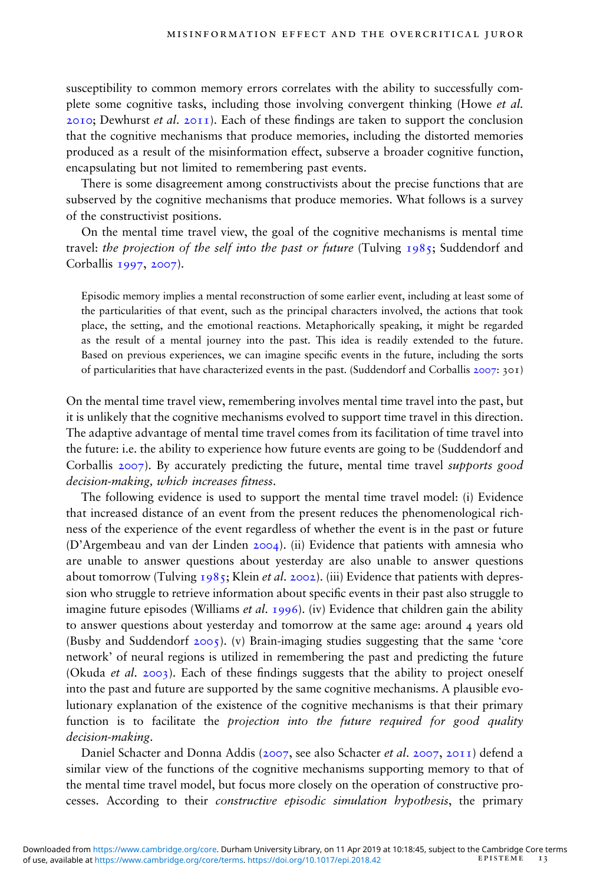susceptibility to common memory errors correlates with the ability to successfully complete some cognitive tasks, including those involving convergent thinking (Howe et al. 2010; Dewhurst *et al.* 2011). Each of these findings are taken to support the conclusion that the cognitive mechanisms that produce memories, including the distorted memories produced as a result of the misinformation effect, subserve a broader cognitive function, encapsulating but not limited to remembering past events.

There is some disagreement among constructivists about the precise functions that are subserved by the cognitive mechanisms that produce memories. What follows is a survey of the constructivist positions.

On the mental time travel view, the goal of the cognitive mechanisms is mental time travel: the projection of the self into the past or future (Tulving  $1985$ ; Suddendorf and Corballis 1997, 2007).

Episodic memory implies a mental reconstruction of some earlier event, including at least some of the particularities of that event, such as the principal characters involved, the actions that took place, the setting, and the emotional reactions. Metaphorically speaking, it might be regarded as the result of a mental journey into the past. This idea is readily extended to the future. Based on previous experiences, we can imagine specific events in the future, including the sorts of particularities that have characterized events in the past. (Suddendorf and Corballis 2007: 301)

On the mental time travel view, remembering involves mental time travel into the past, but it is unlikely that the cognitive mechanisms evolved to support time travel in this direction. The adaptive advantage of mental time travel comes from its facilitation of time travel into the future: i.e. the ability to experience how future events are going to be (Suddendorf and Corballis 2007). By accurately predicting the future, mental time travel supports good decision-making, which increases fitness.

The following evidence is used to support the mental time travel model: (i) Evidence that increased distance of an event from the present reduces the phenomenological richness of the experience of the event regardless of whether the event is in the past or future (D'Argembeau and van der Linden 2004). (ii) Evidence that patients with amnesia who are unable to answer questions about yesterday are also unable to answer questions about tomorrow (Tulving  $1985$ ; Klein *et al.* 2002). (iii) Evidence that patients with depression who struggle to retrieve information about specific events in their past also struggle to imagine future episodes (Williams *et al.* 1996). (iv) Evidence that children gain the ability to answer questions about yesterday and tomorrow at the same age: around 4 years old (Busby and Suddendorf 2005). (v) Brain-imaging studies suggesting that the same 'core network' of neural regions is utilized in remembering the past and predicting the future (Okuda *et al.* 2003). Each of these findings suggests that the ability to project oneself into the past and future are supported by the same cognitive mechanisms. A plausible evolutionary explanation of the existence of the cognitive mechanisms is that their primary function is to facilitate the projection into the future required for good quality decision-making.

Daniel Schacter and Donna Addis (2007, see also Schacter et al. 2007, 2011) defend a similar view of the functions of the cognitive mechanisms supporting memory to that of the mental time travel model, but focus more closely on the operation of constructive processes. According to their constructive episodic simulation hypothesis, the primary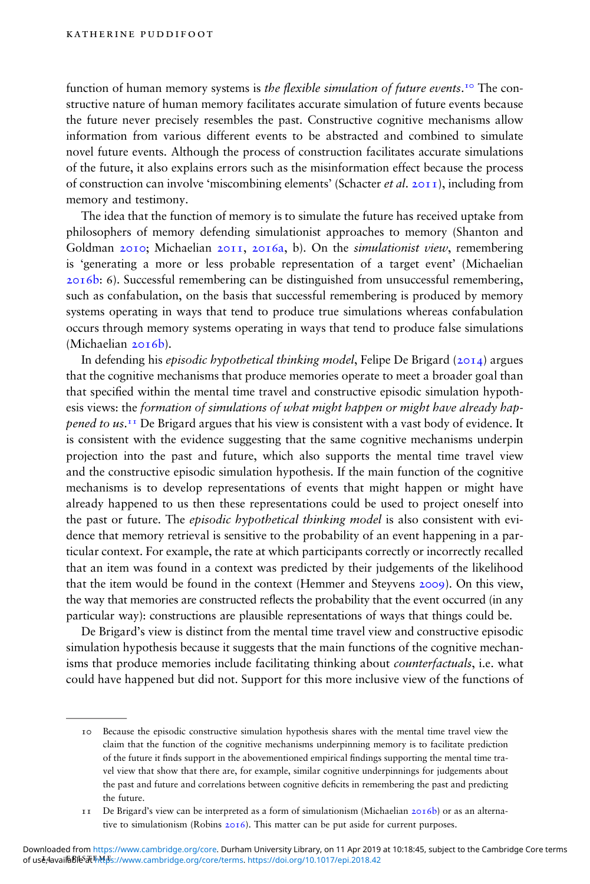function of human memory systems is *the flexible simulation of future events*.<sup>10</sup> The constructive nature of human memory facilitates accurate simulation of future events because the future never precisely resembles the past. Constructive cognitive mechanisms allow information from various different events to be abstracted and combined to simulate novel future events. Although the process of construction facilitates accurate simulations of the future, it also explains errors such as the misinformation effect because the process of construction can involve 'miscombining elements' (Schacter *et al.* 2011), including from memory and testimony.

The idea that the function of memory is to simulate the future has received uptake from philosophers of memory defending simulationist approaches to memory (Shanton and Goldman 2010; Michaelian 2011, 2016a, b). On the simulationist view, remembering is 'generating a more or less probable representation of a target event' (Michaelian 2016b: 6). Successful remembering can be distinguished from unsuccessful remembering, such as confabulation, on the basis that successful remembering is produced by memory systems operating in ways that tend to produce true simulations whereas confabulation occurs through memory systems operating in ways that tend to produce false simulations (Michaelian 2016b).

In defending his episodic hypothetical thinking model, Felipe De Brigard ( $20I4$ ) argues that the cognitive mechanisms that produce memories operate to meet a broader goal than that specified within the mental time travel and constructive episodic simulation hypothesis views: the formation of simulations of what might happen or might have already happened to us.<sup>11</sup> De Brigard argues that his view is consistent with a vast body of evidence. It is consistent with the evidence suggesting that the same cognitive mechanisms underpin projection into the past and future, which also supports the mental time travel view and the constructive episodic simulation hypothesis. If the main function of the cognitive mechanisms is to develop representations of events that might happen or might have already happened to us then these representations could be used to project oneself into the past or future. The *episodic hypothetical thinking model* is also consistent with evidence that memory retrieval is sensitive to the probability of an event happening in a particular context. For example, the rate at which participants correctly or incorrectly recalled that an item was found in a context was predicted by their judgements of the likelihood that the item would be found in the context (Hemmer and Steyvens 2009). On this view, the way that memories are constructed reflects the probability that the event occurred (in any particular way): constructions are plausible representations of ways that things could be.

De Brigard's view is distinct from the mental time travel view and constructive episodic simulation hypothesis because it suggests that the main functions of the cognitive mechanisms that produce memories include facilitating thinking about counterfactuals, i.e. what could have happened but did not. Support for this more inclusive view of the functions of

<sup>10</sup> Because the episodic constructive simulation hypothesis shares with the mental time travel view the claim that the function of the cognitive mechanisms underpinning memory is to facilitate prediction of the future it finds support in the abovementioned empirical findings supporting the mental time travel view that show that there are, for example, similar cognitive underpinnings for judgements about the past and future and correlations between cognitive deficits in remembering the past and predicting the future.

<sup>11</sup> De Brigard's view can be interpreted as a form of simulationism (Michaelian 2016b) or as an alternative to simulationism (Robins 2016). This matter can be put aside for current purposes.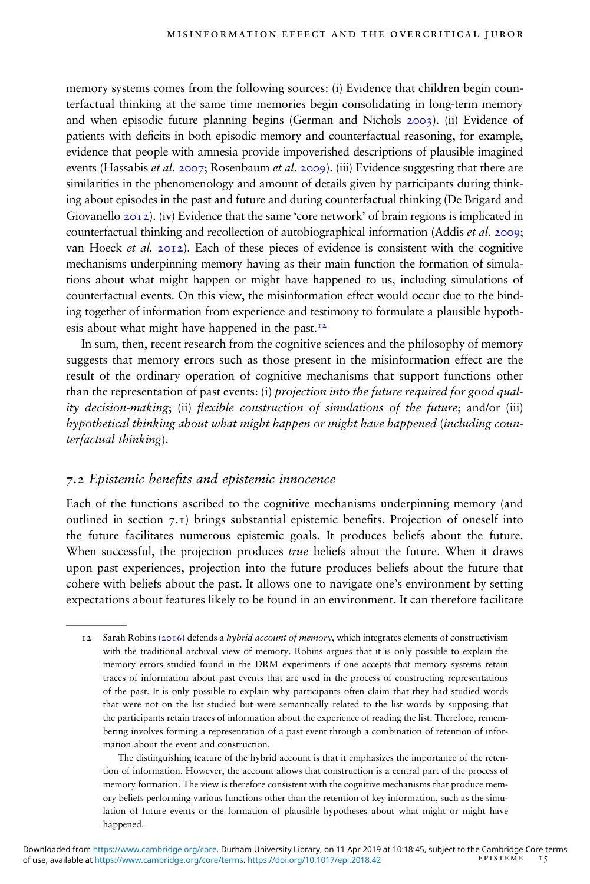memory systems comes from the following sources: (i) Evidence that children begin counterfactual thinking at the same time memories begin consolidating in long-term memory and when episodic future planning begins (German and Nichols 2003). (ii) Evidence of patients with deficits in both episodic memory and counterfactual reasoning, for example, evidence that people with amnesia provide impoverished descriptions of plausible imagined events (Hassabis et al. 2007; Rosenbaum et al. 2009). (iii) Evidence suggesting that there are similarities in the phenomenology and amount of details given by participants during thinking about episodes in the past and future and during counterfactual thinking (De Brigard and Giovanello 2012). (iv) Evidence that the same 'core network' of brain regions is implicated in counterfactual thinking and recollection of autobiographical information (Addis *et al.* 2009; van Hoeck et al.  $2012$ ). Each of these pieces of evidence is consistent with the cognitive mechanisms underpinning memory having as their main function the formation of simulations about what might happen or might have happened to us, including simulations of counterfactual events. On this view, the misinformation effect would occur due to the binding together of information from experience and testimony to formulate a plausible hypothesis about what might have happened in the past.12

In sum, then, recent research from the cognitive sciences and the philosophy of memory suggests that memory errors such as those present in the misinformation effect are the result of the ordinary operation of cognitive mechanisms that support functions other than the representation of past events: (i) *projection into the future required for good qual*ity decision-making; (ii) flexible construction of simulations of the future; and/or (iii) hypothetical thinking about what might happen or might have happened (including counterfactual thinking).

#### 7.2 Epistemic benets and epistemic innocence

Each of the functions ascribed to the cognitive mechanisms underpinning memory (and outlined in section  $7.1$ ) brings substantial epistemic benefits. Projection of oneself into the future facilitates numerous epistemic goals. It produces beliefs about the future. When successful, the projection produces *true* beliefs about the future. When it draws upon past experiences, projection into the future produces beliefs about the future that cohere with beliefs about the past. It allows one to navigate one's environment by setting expectations about features likely to be found in an environment. It can therefore facilitate

The distinguishing feature of the hybrid account is that it emphasizes the importance of the retention of information. However, the account allows that construction is a central part of the process of memory formation. The view is therefore consistent with the cognitive mechanisms that produce memory beliefs performing various functions other than the retention of key information, such as the simulation of future events or the formation of plausible hypotheses about what might or might have happened.

<sup>12</sup> Sarah Robins ( $2016$ ) defends a *hybrid account of memory*, which integrates elements of constructivism with the traditional archival view of memory. Robins argues that it is only possible to explain the memory errors studied found in the DRM experiments if one accepts that memory systems retain traces of information about past events that are used in the process of constructing representations of the past. It is only possible to explain why participants often claim that they had studied words that were not on the list studied but were semantically related to the list words by supposing that the participants retain traces of information about the experience of reading the list. Therefore, remembering involves forming a representation of a past event through a combination of retention of information about the event and construction.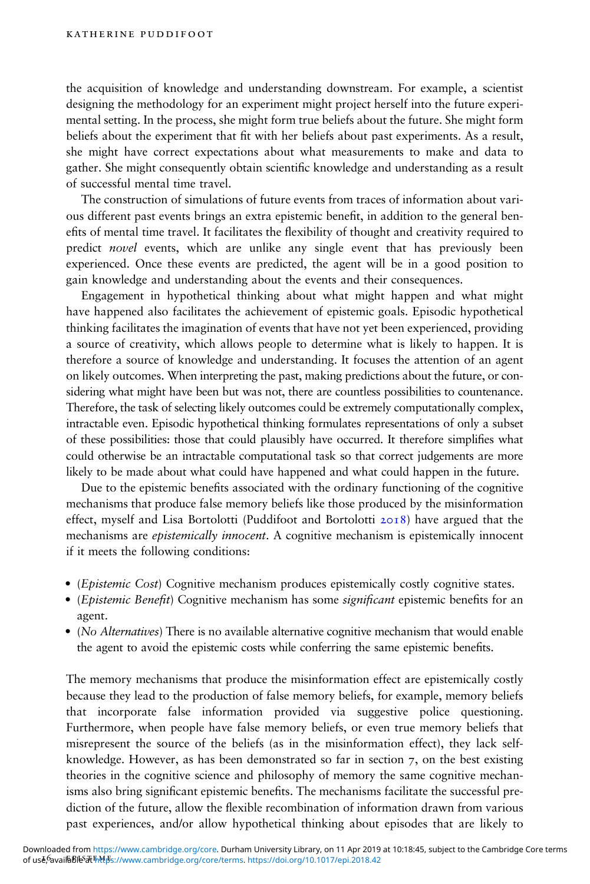the acquisition of knowledge and understanding downstream. For example, a scientist designing the methodology for an experiment might project herself into the future experimental setting. In the process, she might form true beliefs about the future. She might form beliefs about the experiment that fit with her beliefs about past experiments. As a result, she might have correct expectations about what measurements to make and data to gather. She might consequently obtain scientific knowledge and understanding as a result of successful mental time travel.

The construction of simulations of future events from traces of information about various different past events brings an extra epistemic benet, in addition to the general benefits of mental time travel. It facilitates the flexibility of thought and creativity required to predict novel events, which are unlike any single event that has previously been experienced. Once these events are predicted, the agent will be in a good position to gain knowledge and understanding about the events and their consequences.

Engagement in hypothetical thinking about what might happen and what might have happened also facilitates the achievement of epistemic goals. Episodic hypothetical thinking facilitates the imagination of events that have not yet been experienced, providing a source of creativity, which allows people to determine what is likely to happen. It is therefore a source of knowledge and understanding. It focuses the attention of an agent on likely outcomes. When interpreting the past, making predictions about the future, or considering what might have been but was not, there are countless possibilities to countenance. Therefore, the task of selecting likely outcomes could be extremely computationally complex, intractable even. Episodic hypothetical thinking formulates representations of only a subset of these possibilities: those that could plausibly have occurred. It therefore simplifies what could otherwise be an intractable computational task so that correct judgements are more likely to be made about what could have happened and what could happen in the future.

Due to the epistemic benefits associated with the ordinary functioning of the cognitive mechanisms that produce false memory beliefs like those produced by the misinformation effect, myself and Lisa Bortolotti (Puddifoot and Bortolotti  $20I8$ ) have argued that the mechanisms are *epistemically innocent*. A cognitive mechanism is epistemically innocent if it meets the following conditions:

- (Epistemic Cost) Cognitive mechanism produces epistemically costly cognitive states.
- (Epistemic Benefit) Cognitive mechanism has some *significant* epistemic benefits for an agent.
- (No Alternatives) There is no available alternative cognitive mechanism that would enable the agent to avoid the epistemic costs while conferring the same epistemic benefits.

The memory mechanisms that produce the misinformation effect are epistemically costly because they lead to the production of false memory beliefs, for example, memory beliefs that incorporate false information provided via suggestive police questioning. Furthermore, when people have false memory beliefs, or even true memory beliefs that misrepresent the source of the beliefs (as in the misinformation effect), they lack selfknowledge. However, as has been demonstrated so far in section 7, on the best existing theories in the cognitive science and philosophy of memory the same cognitive mechanisms also bring significant epistemic benefits. The mechanisms facilitate the successful prediction of the future, allow the flexible recombination of information drawn from various past experiences, and/or allow hypothetical thinking about episodes that are likely to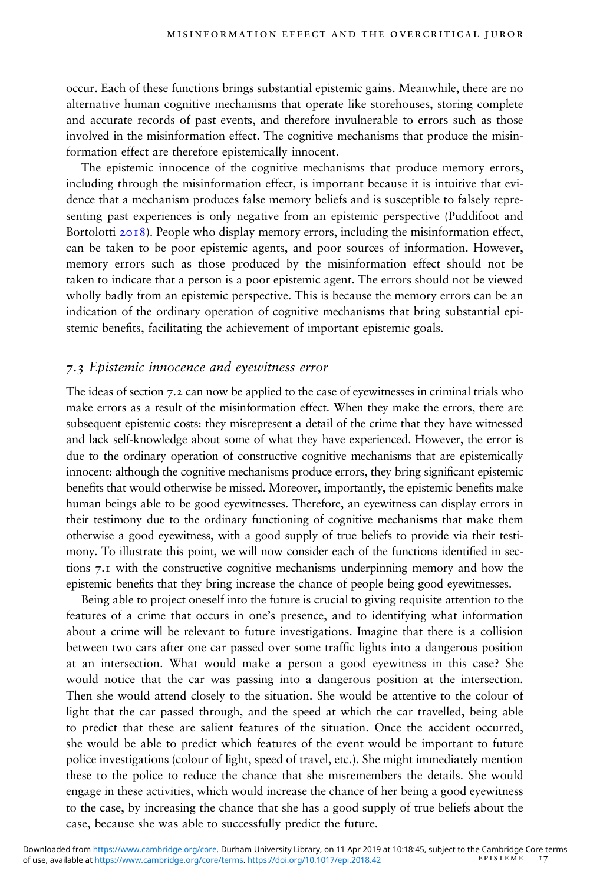occur. Each of these functions brings substantial epistemic gains. Meanwhile, there are no alternative human cognitive mechanisms that operate like storehouses, storing complete and accurate records of past events, and therefore invulnerable to errors such as those involved in the misinformation effect. The cognitive mechanisms that produce the misinformation effect are therefore epistemically innocent.

The epistemic innocence of the cognitive mechanisms that produce memory errors, including through the misinformation effect, is important because it is intuitive that evidence that a mechanism produces false memory beliefs and is susceptible to falsely representing past experiences is only negative from an epistemic perspective (Puddifoot and Bortolotti 2018). People who display memory errors, including the misinformation effect, can be taken to be poor epistemic agents, and poor sources of information. However, memory errors such as those produced by the misinformation effect should not be taken to indicate that a person is a poor epistemic agent. The errors should not be viewed wholly badly from an epistemic perspective. This is because the memory errors can be an indication of the ordinary operation of cognitive mechanisms that bring substantial epistemic benefits, facilitating the achievement of important epistemic goals.

#### 7.3 Epistemic innocence and eyewitness error

The ideas of section 7.2 can now be applied to the case of eyewitnesses in criminal trials who make errors as a result of the misinformation effect. When they make the errors, there are subsequent epistemic costs: they misrepresent a detail of the crime that they have witnessed and lack self-knowledge about some of what they have experienced. However, the error is due to the ordinary operation of constructive cognitive mechanisms that are epistemically innocent: although the cognitive mechanisms produce errors, they bring significant epistemic benefits that would otherwise be missed. Moreover, importantly, the epistemic benefits make human beings able to be good eyewitnesses. Therefore, an eyewitness can display errors in their testimony due to the ordinary functioning of cognitive mechanisms that make them otherwise a good eyewitness, with a good supply of true beliefs to provide via their testimony. To illustrate this point, we will now consider each of the functions identified in sections 7.1 with the constructive cognitive mechanisms underpinning memory and how the epistemic benefits that they bring increase the chance of people being good eyewitnesses.

Being able to project oneself into the future is crucial to giving requisite attention to the features of a crime that occurs in one's presence, and to identifying what information about a crime will be relevant to future investigations. Imagine that there is a collision between two cars after one car passed over some traffic lights into a dangerous position at an intersection. What would make a person a good eyewitness in this case? She would notice that the car was passing into a dangerous position at the intersection. Then she would attend closely to the situation. She would be attentive to the colour of light that the car passed through, and the speed at which the car travelled, being able to predict that these are salient features of the situation. Once the accident occurred, she would be able to predict which features of the event would be important to future police investigations (colour of light, speed of travel, etc.). She might immediately mention these to the police to reduce the chance that she misremembers the details. She would engage in these activities, which would increase the chance of her being a good eyewitness to the case, by increasing the chance that she has a good supply of true beliefs about the case, because she was able to successfully predict the future.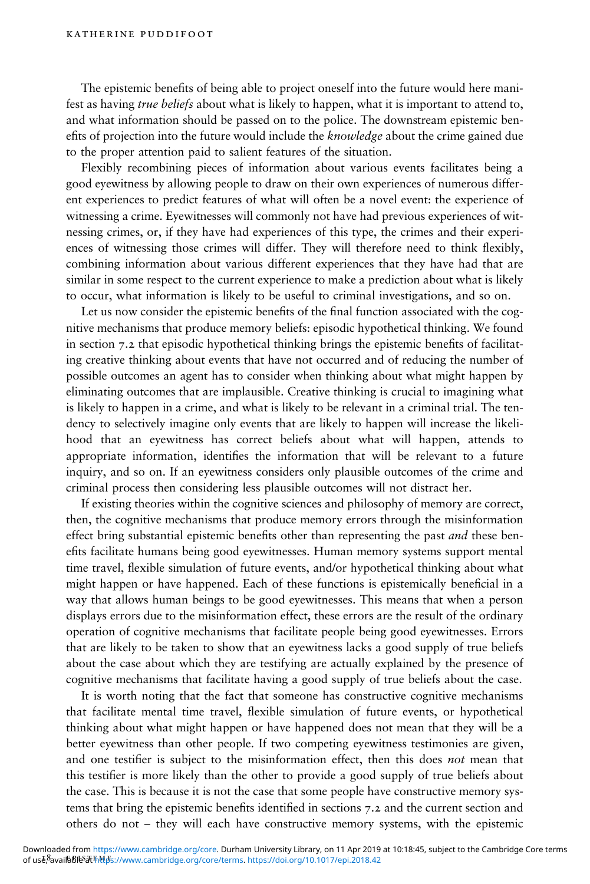The epistemic benefits of being able to project oneself into the future would here manifest as having true beliefs about what is likely to happen, what it is important to attend to, and what information should be passed on to the police. The downstream epistemic benefits of projection into the future would include the knowledge about the crime gained due to the proper attention paid to salient features of the situation.

Flexibly recombining pieces of information about various events facilitates being a good eyewitness by allowing people to draw on their own experiences of numerous different experiences to predict features of what will often be a novel event: the experience of witnessing a crime. Eyewitnesses will commonly not have had previous experiences of witnessing crimes, or, if they have had experiences of this type, the crimes and their experiences of witnessing those crimes will differ. They will therefore need to think flexibly, combining information about various different experiences that they have had that are similar in some respect to the current experience to make a prediction about what is likely to occur, what information is likely to be useful to criminal investigations, and so on.

Let us now consider the epistemic benefits of the final function associated with the cognitive mechanisms that produce memory beliefs: episodic hypothetical thinking. We found in section 7.2 that episodic hypothetical thinking brings the epistemic benefits of facilitating creative thinking about events that have not occurred and of reducing the number of possible outcomes an agent has to consider when thinking about what might happen by eliminating outcomes that are implausible. Creative thinking is crucial to imagining what is likely to happen in a crime, and what is likely to be relevant in a criminal trial. The tendency to selectively imagine only events that are likely to happen will increase the likelihood that an eyewitness has correct beliefs about what will happen, attends to appropriate information, identifies the information that will be relevant to a future inquiry, and so on. If an eyewitness considers only plausible outcomes of the crime and criminal process then considering less plausible outcomes will not distract her.

If existing theories within the cognitive sciences and philosophy of memory are correct, then, the cognitive mechanisms that produce memory errors through the misinformation effect bring substantial epistemic benefits other than representing the past *and* these benefits facilitate humans being good eyewitnesses. Human memory systems support mental time travel, flexible simulation of future events, and/or hypothetical thinking about what might happen or have happened. Each of these functions is epistemically beneficial in a way that allows human beings to be good eyewitnesses. This means that when a person displays errors due to the misinformation effect, these errors are the result of the ordinary operation of cognitive mechanisms that facilitate people being good eyewitnesses. Errors that are likely to be taken to show that an eyewitness lacks a good supply of true beliefs about the case about which they are testifying are actually explained by the presence of cognitive mechanisms that facilitate having a good supply of true beliefs about the case.

It is worth noting that the fact that someone has constructive cognitive mechanisms that facilitate mental time travel, flexible simulation of future events, or hypothetical thinking about what might happen or have happened does not mean that they will be a better eyewitness than other people. If two competing eyewitness testimonies are given, and one testifier is subject to the misinformation effect, then this does not mean that this testier is more likely than the other to provide a good supply of true beliefs about the case. This is because it is not the case that some people have constructive memory systems that bring the epistemic benefits identified in sections  $7.2$  and the current section and others do not – they will each have constructive memory systems, with the epistemic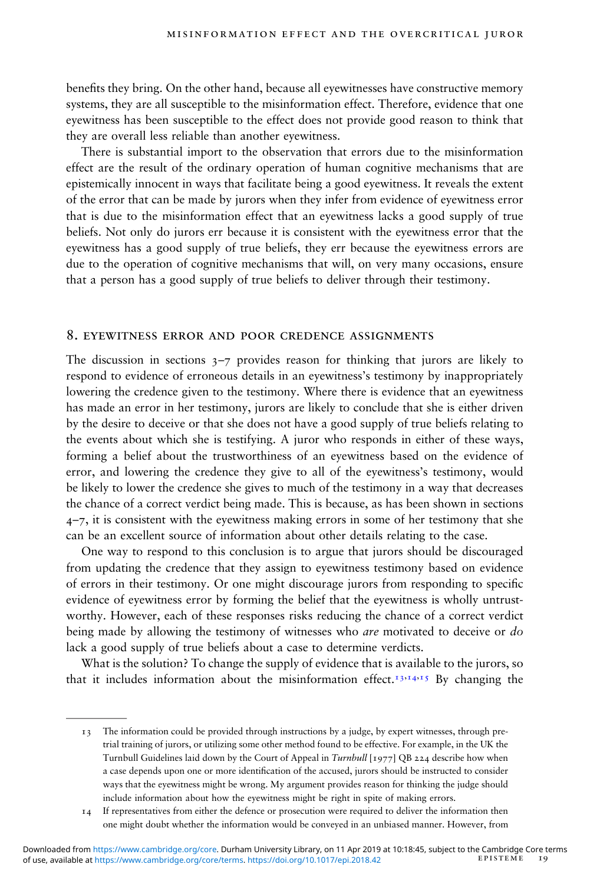benefits they bring. On the other hand, because all eyewitnesses have constructive memory systems, they are all susceptible to the misinformation effect. Therefore, evidence that one eyewitness has been susceptible to the effect does not provide good reason to think that they are overall less reliable than another eyewitness.

There is substantial import to the observation that errors due to the misinformation effect are the result of the ordinary operation of human cognitive mechanisms that are epistemically innocent in ways that facilitate being a good eyewitness. It reveals the extent of the error that can be made by jurors when they infer from evidence of eyewitness error that is due to the misinformation effect that an eyewitness lacks a good supply of true beliefs. Not only do jurors err because it is consistent with the eyewitness error that the eyewitness has a good supply of true beliefs, they err because the eyewitness errors are due to the operation of cognitive mechanisms that will, on very many occasions, ensure that a person has a good supply of true beliefs to deliver through their testimony.

#### 8. eyewitness error and poor credence assignments

The discussion in sections  $3-7$  provides reason for thinking that jurors are likely to respond to evidence of erroneous details in an eyewitness's testimony by inappropriately lowering the credence given to the testimony. Where there is evidence that an eyewitness has made an error in her testimony, jurors are likely to conclude that she is either driven by the desire to deceive or that she does not have a good supply of true beliefs relating to the events about which she is testifying. A juror who responds in either of these ways, forming a belief about the trustworthiness of an eyewitness based on the evidence of error, and lowering the credence they give to all of the eyewitness's testimony, would be likely to lower the credence she gives to much of the testimony in a way that decreases the chance of a correct verdict being made. This is because, as has been shown in sections  $4$ –7, it is consistent with the eyewitness making errors in some of her testimony that she can be an excellent source of information about other details relating to the case.

One way to respond to this conclusion is to argue that jurors should be discouraged from updating the credence that they assign to eyewitness testimony based on evidence of errors in their testimony. Or one might discourage jurors from responding to specic evidence of eyewitness error by forming the belief that the eyewitness is wholly untrustworthy. However, each of these responses risks reducing the chance of a correct verdict being made by allowing the testimony of witnesses who *are* motivated to deceive or *do* lack a good supply of true beliefs about a case to determine verdicts.

What is the solution? To change the supply of evidence that is available to the jurors, so that it includes information about the misinformation effect.<sup>13,14,15</sup> By changing the

<sup>13</sup> The information could be provided through instructions by a judge, by expert witnesses, through pretrial training of jurors, or utilizing some other method found to be effective. For example, in the UK the Turnbull Guidelines laid down by the Court of Appeal in Turnbull [1977] QB 224 describe how when a case depends upon one or more identification of the accused, jurors should be instructed to consider ways that the eyewitness might be wrong. My argument provides reason for thinking the judge should include information about how the eyewitness might be right in spite of making errors.

<sup>14</sup> If representatives from either the defence or prosecution were required to deliver the information then one might doubt whether the information would be conveyed in an unbiased manner. However, from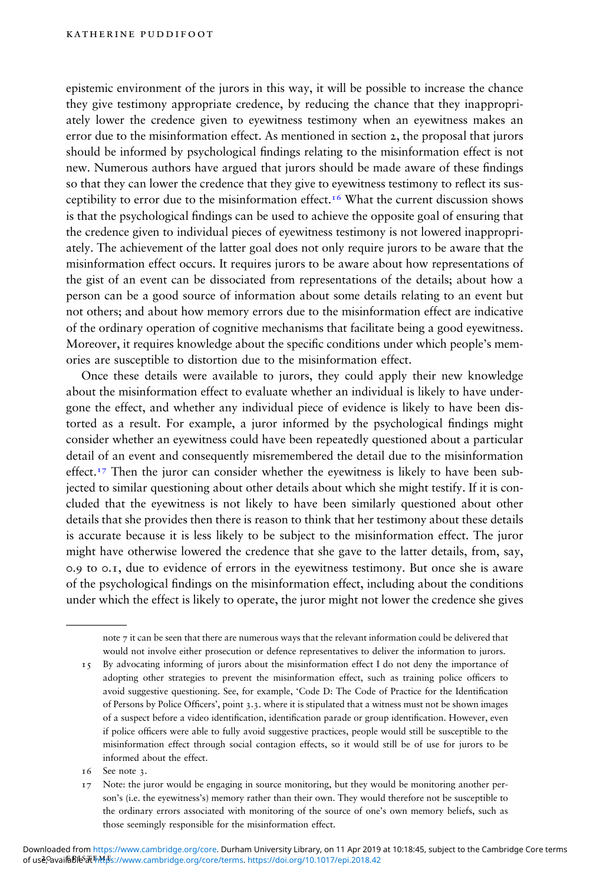epistemic environment of the jurors in this way, it will be possible to increase the chance they give testimony appropriate credence, by reducing the chance that they inappropriately lower the credence given to eyewitness testimony when an eyewitness makes an error due to the misinformation effect. As mentioned in section 2, the proposal that jurors should be informed by psychological findings relating to the misinformation effect is not new. Numerous authors have argued that jurors should be made aware of these findings so that they can lower the credence that they give to eyewitness testimony to reflect its susceptibility to error due to the misinformation effect.<sup>16</sup> What the current discussion shows is that the psychological findings can be used to achieve the opposite goal of ensuring that the credence given to individual pieces of eyewitness testimony is not lowered inappropriately. The achievement of the latter goal does not only require jurors to be aware that the misinformation effect occurs. It requires jurors to be aware about how representations of the gist of an event can be dissociated from representations of the details; about how a person can be a good source of information about some details relating to an event but not others; and about how memory errors due to the misinformation effect are indicative of the ordinary operation of cognitive mechanisms that facilitate being a good eyewitness. Moreover, it requires knowledge about the specific conditions under which people's memories are susceptible to distortion due to the misinformation effect.

Once these details were available to jurors, they could apply their new knowledge about the misinformation effect to evaluate whether an individual is likely to have undergone the effect, and whether any individual piece of evidence is likely to have been distorted as a result. For example, a juror informed by the psychological findings might consider whether an eyewitness could have been repeatedly questioned about a particular detail of an event and consequently misremembered the detail due to the misinformation effect.<sup>17</sup> Then the juror can consider whether the eyewitness is likely to have been subjected to similar questioning about other details about which she might testify. If it is concluded that the eyewitness is not likely to have been similarly questioned about other details that she provides then there is reason to think that her testimony about these details is accurate because it is less likely to be subject to the misinformation effect. The juror might have otherwise lowered the credence that she gave to the latter details, from, say, 0.9 to 0.1, due to evidence of errors in the eyewitness testimony. But once she is aware of the psychological findings on the misinformation effect, including about the conditions under which the effect is likely to operate, the juror might not lower the credence she gives

note 7 it can be seen that there are numerous ways that the relevant information could be delivered that would not involve either prosecution or defence representatives to deliver the information to jurors.

- 15 By advocating informing of jurors about the misinformation effect I do not deny the importance of adopting other strategies to prevent the misinformation effect, such as training police officers to avoid suggestive questioning. See, for example, 'Code D: The Code of Practice for the Identification of Persons by Police Officers', point 3.3. where it is stipulated that a witness must not be shown images of a suspect before a video identification, identification parade or group identification. However, even if police officers were able to fully avoid suggestive practices, people would still be susceptible to the misinformation effect through social contagion effects, so it would still be of use for jurors to be informed about the effect.
- 16 See note 3.

<sup>17</sup> Note: the juror would be engaging in source monitoring, but they would be monitoring another person's (i.e. the eyewitness's) memory rather than their own. They would therefore not be susceptible to the ordinary errors associated with monitoring of the source of one's own memory beliefs, such as those seemingly responsible for the misinformation effect.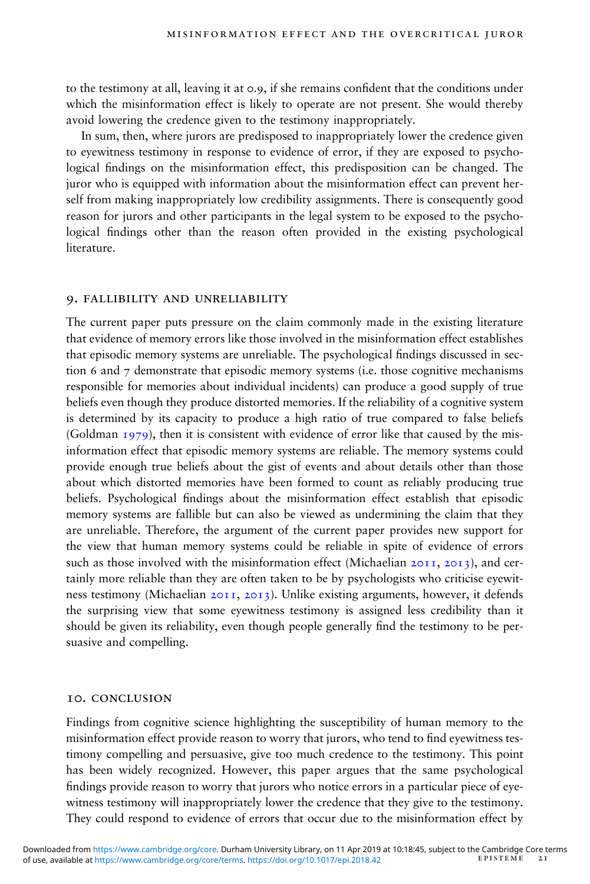to the testimony at all, leaving it at 0.9, if she remains confident that the conditions under which the misinformation effect is likely to operate are not present. She would thereby avoid lowering the credence given to the testimony inappropriately.

In sum, then, where jurors are predisposed to inappropriately lower the credence given to eyewitness testimony in response to evidence of error, if they are exposed to psychological findings on the misinformation effect, this predisposition can be changed. The juror who is equipped with information about the misinformation effect can prevent herself from making inappropriately low credibility assignments. There is consequently good reason for jurors and other participants in the legal system to be exposed to the psychological findings other than the reason often provided in the existing psychological literature.

#### 9. fallibility and unreliability

The current paper puts pressure on the claim commonly made in the existing literature that evidence of memory errors like those involved in the misinformation effect establishes that episodic memory systems are unreliable. The psychological findings discussed in section 6 and 7 demonstrate that episodic memory systems (i.e. those cognitive mechanisms responsible for memories about individual incidents) can produce a good supply of true beliefs even though they produce distorted memories. If the reliability of a cognitive system is determined by its capacity to produce a high ratio of true compared to false beliefs (Goldman 1979), then it is consistent with evidence of error like that caused by the misinformation effect that episodic memory systems are reliable. The memory systems could provide enough true beliefs about the gist of events and about details other than those about which distorted memories have been formed to count as reliably producing true beliefs. Psychological findings about the misinformation effect establish that episodic memory systems are fallible but can also be viewed as undermining the claim that they are unreliable. Therefore, the argument of the current paper provides new support for the view that human memory systems could be reliable in spite of evidence of errors such as those involved with the misinformation effect (Michaelian 2011, 2013), and certainly more reliable than they are often taken to be by psychologists who criticise eyewitness testimony (Michaelian 2011, 2013). Unlike existing arguments, however, it defends the surprising view that some eyewitness testimony is assigned less credibility than it should be given its reliability, even though people generally find the testimony to be persuasive and compelling.

#### 10. conclusion

Findings from cognitive science highlighting the susceptibility of human memory to the misinformation effect provide reason to worry that jurors, who tend to find evewitness testimony compelling and persuasive, give too much credence to the testimony. This point has been widely recognized. However, this paper argues that the same psychological findings provide reason to worry that jurors who notice errors in a particular piece of eyewitness testimony will inappropriately lower the credence that they give to the testimony. They could respond to evidence of errors that occur due to the misinformation effect by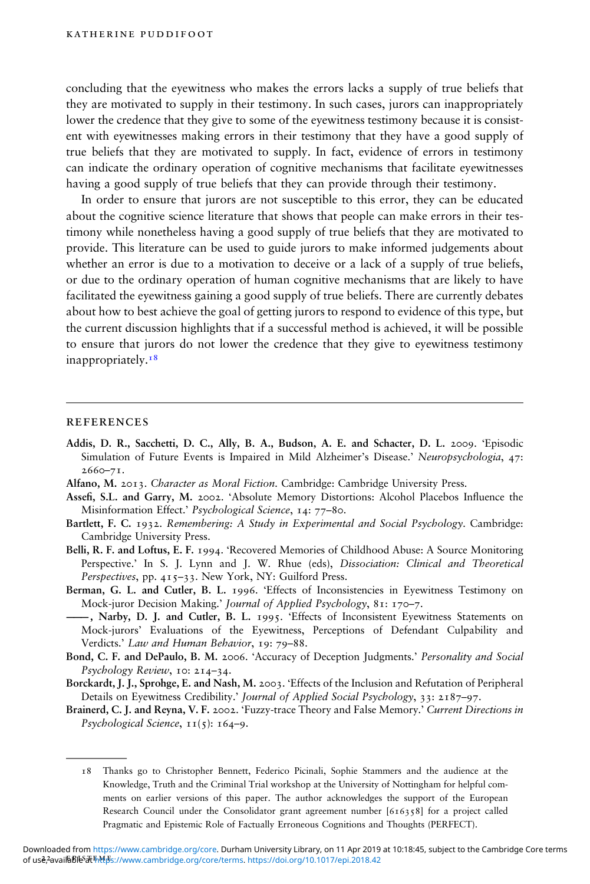concluding that the eyewitness who makes the errors lacks a supply of true beliefs that they are motivated to supply in their testimony. In such cases, jurors can inappropriately lower the credence that they give to some of the eyewitness testimony because it is consistent with eyewitnesses making errors in their testimony that they have a good supply of true beliefs that they are motivated to supply. In fact, evidence of errors in testimony can indicate the ordinary operation of cognitive mechanisms that facilitate eyewitnesses having a good supply of true beliefs that they can provide through their testimony.

In order to ensure that jurors are not susceptible to this error, they can be educated about the cognitive science literature that shows that people can make errors in their testimony while nonetheless having a good supply of true beliefs that they are motivated to provide. This literature can be used to guide jurors to make informed judgements about whether an error is due to a motivation to deceive or a lack of a supply of true beliefs, or due to the ordinary operation of human cognitive mechanisms that are likely to have facilitated the eyewitness gaining a good supply of true beliefs. There are currently debates about how to best achieve the goal of getting jurors to respond to evidence of this type, but the current discussion highlights that if a successful method is achieved, it will be possible to ensure that jurors do not lower the credence that they give to eyewitness testimony inappropriately.<sup>18</sup>

#### **REFERENCES**

- Addis, D. R., Sacchetti, D. C., Ally, B. A., Budson, A. E. and Schacter, D. L. 2009. 'Episodic Simulation of Future Events is Impaired in Mild Alzheimer's Disease.' Neuropsychologia, 47: 2660–71.
- Alfano, M. 2013. Character as Moral Fiction. Cambridge: Cambridge University Press.
- Assefi, S.L. and Garry, M. 2002. 'Absolute Memory Distortions: Alcohol Placebos Influence the Misinformation Effect.' Psychological Science, 14: 77–80.
- Bartlett, F. C. 1932. Remembering: A Study in Experimental and Social Psychology. Cambridge: Cambridge University Press.
- Belli, R. F. and Loftus, E. F. 1994. 'Recovered Memories of Childhood Abuse: A Source Monitoring Perspective.' In S. J. Lynn and J. W. Rhue (eds), Dissociation: Clinical and Theoretical Perspectives, pp. 415–33. New York, NY: Guilford Press.
- Berman, G. L. and Cutler, B. L. 1996. 'Effects of Inconsistencies in Eyewitness Testimony on Mock-juror Decision Making.' Journal of Applied Psychology, 81: 170–7.
- ———, Narby, D. J. and Cutler, B. L. 1995. 'Effects of Inconsistent Eyewitness Statements on Mock-jurors' Evaluations of the Eyewitness, Perceptions of Defendant Culpability and Verdicts.' Law and Human Behavior, 19: 79–88.
- Bond, C. F. and DePaulo, B. M. 2006. 'Accuracy of Deception Judgments.' Personality and Social Psychology Review, 10: 214–34.
- Borckardt, J. J., Sprohge, E. and Nash, M. 2003. 'Effects of the Inclusion and Refutation of Peripheral Details on Eyewitness Credibility.' Journal of Applied Social Psychology, 33: 2187–97.
- Brainerd, C. J. and Reyna, V. F. 2002. 'Fuzzy-trace Theory and False Memory.' Current Directions in Psychological Science,  $11(5)$ : 164-9.

<sup>18</sup> Thanks go to Christopher Bennett, Federico Picinali, Sophie Stammers and the audience at the Knowledge, Truth and the Criminal Trial workshop at the University of Nottingham for helpful comments on earlier versions of this paper. The author acknowledges the support of the European Research Council under the Consolidator grant agreement number [616358] for a project called Pragmatic and Epistemic Role of Factually Erroneous Cognitions and Thoughts (PERFECT).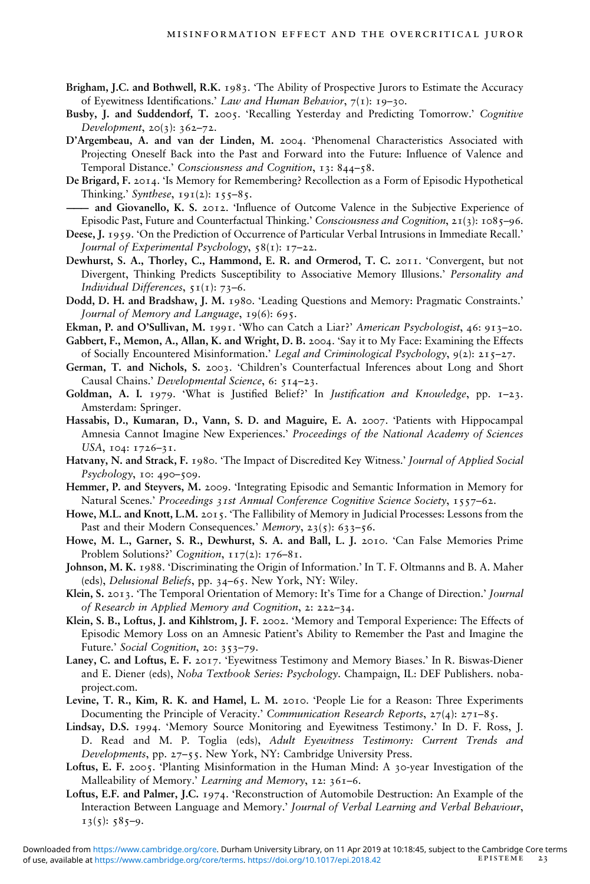- Brigham, J.C. and Bothwell, R.K. 1983. 'The Ability of Prospective Jurors to Estimate the Accuracy of Eyewitness Identifications.' Law and Human Behavior,  $7(1)$ : 19-30.
- Busby, J. and Suddendorf, T. 2005. 'Recalling Yesterday and Predicting Tomorrow.' Cognitive Development, 20(3): 362–72.
- D'Argembeau, A. and van der Linden, M. 2004. 'Phenomenal Characteristics Associated with Projecting Oneself Back into the Past and Forward into the Future: Influence of Valence and Temporal Distance.' Consciousness and Cognition, 13: 844–58.
- De Brigard, F. 2014. 'Is Memory for Remembering? Recollection as a Form of Episodic Hypothetical Thinking.' Synthese,  $191(2)$ :  $155-85$ .
- and Giovanello, K. S. 2012. 'Influence of Outcome Valence in the Subjective Experience of Episodic Past, Future and Counterfactual Thinking.' Consciousness and Cognition, 21(3): 1085–96.
- Deese, J. 1959. 'On the Prediction of Occurrence of Particular Verbal Intrusions in Immediate Recall.' Journal of Experimental Psychology,  $58(i)$ : 17–22.
- Dewhurst, S. A., Thorley, C., Hammond, E. R. and Ormerod, T. C. 2011. 'Convergent, but not Divergent, Thinking Predicts Susceptibility to Associative Memory Illusions.' Personality and Individual Differences,  $51(1)$ : 73–6.
- Dodd, D. H. and Bradshaw, J. M. 1980. 'Leading Questions and Memory: Pragmatic Constraints.' Journal of Memory and Language, 19(6): 695.
- Ekman, P. and O'Sullivan, M. 1991. 'Who can Catch a Liar?' American Psychologist, 46: 913–20.
- Gabbert, F., Memon, A., Allan, K. and Wright, D. B. 2004. 'Say it to My Face: Examining the Effects of Socially Encountered Misinformation.' Legal and Criminological Psychology, 9(2): 215–27.
- German, T. and Nichols, S. 2003. 'Children's Counterfactual Inferences about Long and Short Causal Chains.' Developmental Science, 6: 514–23.
- Goldman, A. I. 1979. 'What is Justified Belief?' In *Justification and Knowledge*, pp.  $I-23$ . Amsterdam: Springer.
- Hassabis, D., Kumaran, D., Vann, S. D. and Maguire, E. A. 2007. 'Patients with Hippocampal Amnesia Cannot Imagine New Experiences.' Proceedings of the National Academy of Sciences USA, 104: 1726–31.
- Hatvany, N. and Strack, F. 1980. 'The Impact of Discredited Key Witness.' Journal of Applied Social Psychology, 10: 490–509.
- Hemmer, P. and Steyvers, M. 2009. 'Integrating Episodic and Semantic Information in Memory for Natural Scenes.' Proceedings 31st Annual Conference Cognitive Science Society, 1557–62.
- Howe, M.L. and Knott, L.M. 2015. 'The Fallibility of Memory in Judicial Processes: Lessons from the Past and their Modern Consequences.' Memory, 23(5): 633-56.
- Howe, M. L., Garner, S. R., Dewhurst, S. A. and Ball, L. J. 2010. 'Can False Memories Prime Problem Solutions?' Cognition, 117(2): 176–81.
- Johnson, M. K. 1988. 'Discriminating the Origin of Information.' In T. F. Oltmanns and B. A. Maher (eds), Delusional Beliefs, pp. 34–65. New York, NY: Wiley.
- Klein, S. 2013. 'The Temporal Orientation of Memory: It's Time for a Change of Direction.' Journal of Research in Applied Memory and Cognition, 2: 222–34.
- Klein, S. B., Loftus, J. and Kihlstrom, J. F. 2002. 'Memory and Temporal Experience: The Effects of Episodic Memory Loss on an Amnesic Patient's Ability to Remember the Past and Imagine the Future.' Social Cognition, 20: 353–79.
- Laney, C. and Loftus, E. F. 2017. 'Eyewitness Testimony and Memory Biases.' In R. Biswas-Diener and E. Diener (eds), Noba Textbook Series: Psychology. Champaign, IL: DEF Publishers. nobaproject.com.
- Levine, T. R., Kim, R. K. and Hamel, L. M. 2010. 'People Lie for a Reason: Three Experiments Documenting the Principle of Veracity.' Communication Research Reports, 27(4): 271-85.
- Lindsay, D.S. 1994. 'Memory Source Monitoring and Eyewitness Testimony.' In D. F. Ross, J. D. Read and M. P. Toglia (eds), Adult Eyewitness Testimony: Current Trends and Developments, pp. 27–55. New York, NY: Cambridge University Press.
- Loftus, E. F. 2005. 'Planting Misinformation in the Human Mind: A 30-year Investigation of the Malleability of Memory.' Learning and Memory, 12: 361–6.
- Loftus, E.F. and Palmer, J.C. 1974. 'Reconstruction of Automobile Destruction: An Example of the Interaction Between Language and Memory.' Journal of Verbal Learning and Verbal Behaviour,  $13(5): 585-9.$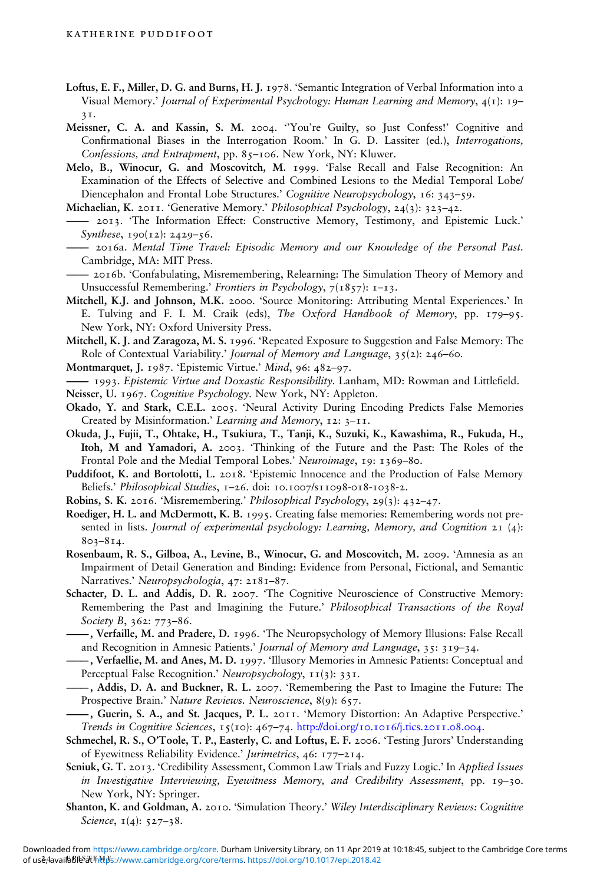- Loftus, E. F., Miller, D. G. and Burns, H. J. 1978. 'Semantic Integration of Verbal Information into a Visual Memory.' Journal of Experimental Psychology: Human Learning and Memory, 4(1): 19– 31.
- Meissner, C. A. and Kassin, S. M. 2004. ''You're Guilty, so Just Confess!' Cognitive and Confirmational Biases in the Interrogation Room.' In G. D. Lassiter (ed.), Interrogations, Confessions, and Entrapment, pp. 85–106. New York, NY: Kluwer.
- Melo, B., Winocur, G. and Moscovitch, M. 1999. 'False Recall and False Recognition: An Examination of the Effects of Selective and Combined Lesions to the Medial Temporal Lobe/ Diencephalon and Frontal Lobe Structures.' Cognitive Neuropsychology, 16: 343–59.
- Michaelian, K. 2011. 'Generative Memory.' Philosophical Psychology, 24(3): 323–42.
- ——— 2013. 'The Information Effect: Constructive Memory, Testimony, and Epistemic Luck.' Synthese, 190(12): 2429–56.
- 2016a. Mental Time Travel: Episodic Memory and our Knowledge of the Personal Past. Cambridge, MA: MIT Press.
- ——— 2016b. 'Confabulating, Misremembering, Relearning: The Simulation Theory of Memory and Unsuccessful Remembering.' Frontiers in Psychology, 7(1857): 1-13.
- Mitchell, K.J. and Johnson, M.K. 2000. 'Source Monitoring: Attributing Mental Experiences.' In E. Tulving and F. I. M. Craik (eds), The Oxford Handbook of Memory, pp. 179–95. New York, NY: Oxford University Press.
- Mitchell, K. J. and Zaragoza, M. S. 1996. 'Repeated Exposure to Suggestion and False Memory: The Role of Contextual Variability.' Journal of Memory and Language, 35(2): 246–60.
- Montmarquet, J. 1987. 'Epistemic Virtue.' Mind, 96: 482–97.
- 1993. Epistemic Virtue and Doxastic Responsibility. Lanham, MD: Rowman and Littlefield.
- Neisser, U. 1967. Cognitive Psychology. New York, NY: Appleton.
- Okado, Y. and Stark, C.E.L. 2005. 'Neural Activity During Encoding Predicts False Memories Created by Misinformation.' Learning and Memory, 12: 3–11.
- Okuda, J., Fujii, T., Ohtake, H., Tsukiura, T., Tanji, K., Suzuki, K., Kawashima, R., Fukuda, H., Itoh, M and Yamadori, A. 2003. 'Thinking of the Future and the Past: The Roles of the Frontal Pole and the Medial Temporal Lobes.' Neuroimage, 19: 1369–80.
- Puddifoot, K. and Bortolotti, L. 2018. 'Epistemic Innocence and the Production of False Memory Beliefs.' Philosophical Studies, 1-26. doi: 10.1007/S11098-018-1038-2.
- Robins, S. K. 2016. 'Misremembering.' Philosophical Psychology, 29(3): 432–47.
- Roediger, H. L. and McDermott, K. B. 1995. Creating false memories: Remembering words not presented in lists. Journal of experimental psychology: Learning, Memory, and Cognition 21 (4): 803–814.
- Rosenbaum, R. S., Gilboa, A., Levine, B., Winocur, G. and Moscovitch, M. 2009. 'Amnesia as an Impairment of Detail Generation and Binding: Evidence from Personal, Fictional, and Semantic Narratives.' Neuropsychologia, 47: 2181–87.
- Schacter, D. L. and Addis, D. R. 2007. 'The Cognitive Neuroscience of Constructive Memory: Remembering the Past and Imagining the Future.' Philosophical Transactions of the Royal Society B, 362: 773–86.
- ———, Verfaille, M. and Pradere, D. 1996. 'The Neuropsychology of Memory Illusions: False Recall and Recognition in Amnesic Patients.' Journal of Memory and Language, 35: 319–34.
- ———, Verfaellie, M. and Anes, M. D. 1997. 'Illusory Memories in Amnesic Patients: Conceptual and Perceptual False Recognition.' Neuropsychology, 11(3): 331.
- ———, Addis, D. A. and Buckner, R. L. 2007. 'Remembering the Past to Imagine the Future: The Prospective Brain.' Nature Reviews. Neuroscience, 8(9): 657.
- ———, Guerin, S. A., and St. Jacques, P. L. 2011. 'Memory Distortion: An Adaptive Perspective.' Trends in Cognitive Sciences, 15(10): 467–74. <http://doi.org/10.1016/j.tics.2011.08.004>.
- Schmechel, R. S., O'Toole, T. P., Easterly, C. and Loftus, E. F. 2006. 'Testing Jurors' Understanding of Eyewitness Reliability Evidence.' Jurimetrics, 46: 177–214.
- Seniuk, G. T. 2013. 'Credibility Assessment, Common Law Trials and Fuzzy Logic.' In Applied Issues in Investigative Interviewing, Eyewitness Memory, and Credibility Assessment, pp. 19–30. New York, NY: Springer.
- Shanton, K. and Goldman, A. 2010. 'Simulation Theory.' Wiley Interdisciplinary Reviews: Cognitive Science, 1(4): 527-38.